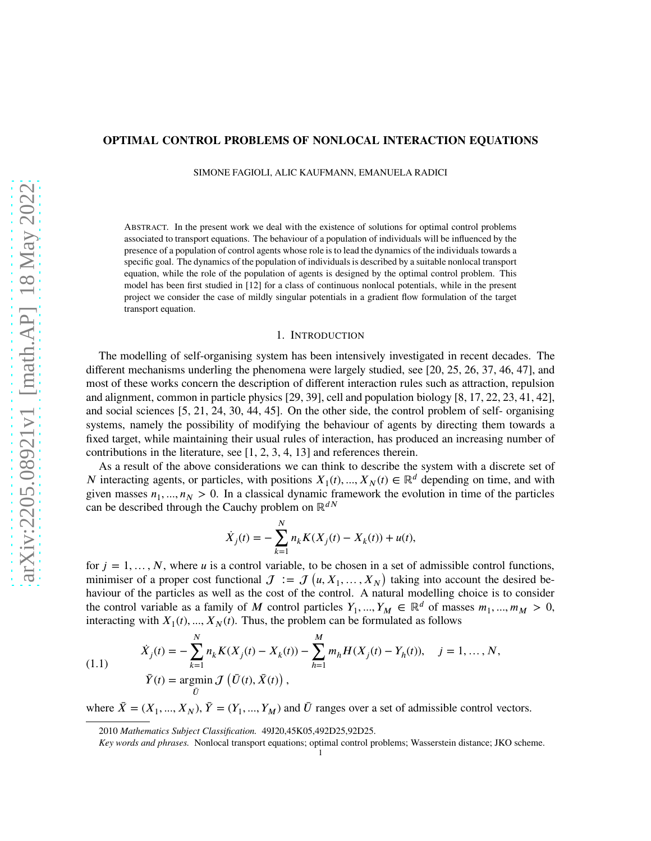# **OPTIMAL CONTROL PROBLEMS OF NONLOCAL INTERACTION EQUATIONS**

SIMONE FAGIOLI, ALIC KAUFMANN, EMANUELA RADICI

ABSTRACT. In the present work we deal with the existence of solutions for optimal control problems associated to transport equations. The behaviour of a population of individuals will be influenced by the presence of a population of control agents whose role is to lead the dynamics of the individuals towards a specific goal. The dynamics of the population of individuals is described by a suitable nonlocal transport equation, while the role of the population of agents is designed by the optimal control problem. This model has been first studied in [\[12\]](#page-24-0) for a class of continuous nonlocal potentials, while in the present project we consider the case of mildly singular potentials in a gradient flow formulation of the target transport equation.

## 1. INTRODUCTION

The modelling of self-organising system has been intensively investigated in recent decades. The different mechanisms underling the phenomena were largely studied, see [\[20,](#page-25-0) [25,](#page-25-1) [26,](#page-25-2) [37,](#page-25-3) [46,](#page-26-0) [47\]](#page-26-1), and most of these works concern the description of different interaction rules such as attraction, repulsion and alignment, common in particle physics [\[29,](#page-25-4) [39\]](#page-25-5), cell and population biology [\[8,](#page-24-1) [17,](#page-25-6) [22,](#page-25-7) [23,](#page-25-8) [41,](#page-25-9) [42\]](#page-25-10), and social sciences [\[5,](#page-24-2) [21,](#page-25-11) [24,](#page-25-12) [30,](#page-25-13) [44,](#page-26-2) [45\]](#page-26-3). On the other side, the control problem of self- organising systems, namely the possibility of modifying the behaviour of agents by directing them towards a fixed target, while maintaining their usual rules of interaction, has produced an increasing number of contributions in the literature, see [\[1,](#page-24-3) [2,](#page-24-4) [3,](#page-24-5) [4,](#page-24-6) [13\]](#page-24-7) and references therein.

As a result of the above considerations we can think to describe the system with a discrete set of *N* interacting agents, or particles, with positions  $X_1(t), ..., X_N(t) \in \mathbb{R}^d$  depending on time, and with given masses  $n_1, ..., n_N > 0$ . In a classical dynamic framework the evolution in time of the particles can be described through the Cauchy problem on  $\mathbb{R}^{dN}$ 

$$
\dot{X}_j(t) = -\sum_{k=1}^N n_k K(X_j(t) - X_k(t)) + u(t),
$$

for  $j = 1, \ldots, N$ , where *u* is a control variable, to be chosen in a set of admissible control functions, minimiser of a proper cost functional  $J := J(u, X_1, ..., X_N)$  taking into account the desired behaviour of the particles as well as the cost of the control. A natural modelling choice is to consider the control variable as a family of *M* control particles  $Y_1, ..., Y_M \in \mathbb{R}^d$  of masses  $m_1, ..., m_M > 0$ , interacting with  $X_1(t), ..., X_N(t)$ . Thus, the problem can be formulated as follows

<span id="page-0-0"></span>(1.1) 
$$
\dot{X}_j(t) = -\sum_{k=1}^N n_k K(X_j(t) - X_k(t)) - \sum_{h=1}^M m_h H(X_j(t) - Y_h(t)), \quad j = 1, ..., N,
$$

$$
\bar{Y}(t) = \operatorname*{argmin}_{\bar{U}} \mathcal{J}(\bar{U}(t), \bar{X}(t)),
$$

where  $\bar{X} = (X_1, ..., X_N)$ ,  $\bar{Y} = (Y_1, ..., Y_M)$  and  $\bar{U}$  ranges over a set of admissible control vectors.

<sup>2010</sup> Mathematics Subject Classification. 49J20,45K05,492D25,92D25.

*Key words and phrases.* Nonlocal transport equations; optimal control problems; Wasserstein distance; JKO scheme.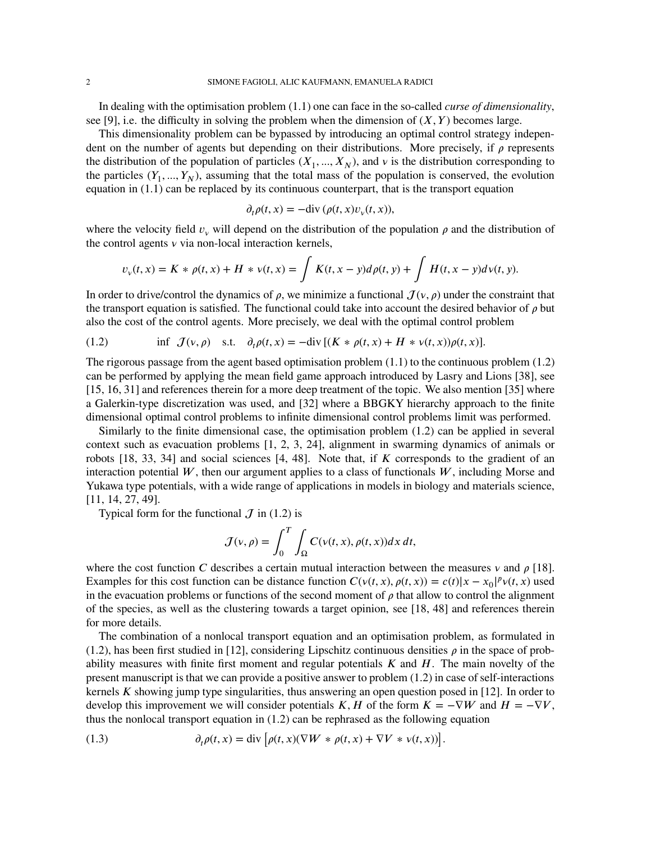In dealing with the optimisation problem [\(1.1\)](#page-0-0) one can face in the so-called *curse of dimensionality*, see [\[9\]](#page-24-8), i.e. the difficulty in solving the problem when the dimension of  $(X, Y)$  becomes large.

This dimensionality problem can be bypassed by introducing an optimal control strategy independent on the number of agents but depending on their distributions. More precisely, if  $\rho$  represents the distribution of the population of particles  $(X_1, ..., X_N)$ , and  $\nu$  is the distribution corresponding to the particles  $(Y_1, ..., Y_N)$ , assuming that the total mass of the population is conserved, the evolution equation in [\(1.1\)](#page-0-0) can be replaced by its continuous counterpart, that is the transport equation

$$
\partial_t \rho(t, x) = -\text{div}\,(\rho(t, x)v_\nu(t, x)),
$$

where the velocity field  $v_y$  will depend on the distribution of the population  $\rho$  and the distribution of the control agents  $\nu$  via non-local interaction kernels,

$$
v_{v}(t,x) = K * \rho(t,x) + H * v(t,x) = \int K(t,x-y)d\rho(t,y) + \int H(t,x-y)d\nu(t,y).
$$

In order to drive/control the dynamics of  $\rho$ , we minimize a functional  $\mathcal{J}(v, \rho)$  under the constraint that the transport equation is satisfied. The functional could take into account the desired behavior of  $\rho$  but also the cost of the control agents. More precisely, we deal with the optimal control problem

<span id="page-1-0"></span>(1.2) 
$$
\inf \mathcal{J}(v,\rho) \quad \text{s.t.} \quad \partial_t \rho(t,x) = -\text{div}\left[ (K * \rho(t,x) + H * v(t,x))\rho(t,x) \right].
$$

The rigorous passage from the agent based optimisation problem [\(1.1\)](#page-0-0) to the continuous problem [\(1.2\)](#page-1-0) can be performed by applying the mean field game approach introduced by Lasry and Lions [\[38\]](#page-25-14), see [\[15,](#page-24-9) [16,](#page-25-15) [31\]](#page-25-16) and references therein for a more deep treatment of the topic. We also mention [\[35\]](#page-25-17) where a Galerkin-type discretization was used, and [\[32\]](#page-25-18) where a BBGKY hierarchy approach to the finite dimensional optimal control problems to infinite dimensional control problems limit was performed.

Similarly to the finite dimensional case, the optimisation problem [\(1.2\)](#page-1-0) can be applied in several context such as evacuation problems [\[1,](#page-24-3) [2,](#page-24-4) [3,](#page-24-5) [24\]](#page-25-12), alignment in swarming dynamics of animals or robots  $[18, 33, 34]$  $[18, 33, 34]$  $[18, 33, 34]$  and social sciences  $[4, 48]$  $[4, 48]$ . Note that, if *K* corresponds to the gradient of an interaction potential  $W$ , then our argument applies to a class of functionals  $W$ , including Morse and Yukawa type potentials, with a wide range of applications in models in biology and materials science, [\[11,](#page-24-10) [14,](#page-24-11) [27,](#page-25-22) [49\]](#page-26-5).

Typical form for the functional  $J$  in [\(1.2\)](#page-1-0) is

$$
\mathcal{J}(\nu,\rho) = \int_0^T \int_{\Omega} C(\nu(t,x), \rho(t,x)) dx dt,
$$

where the cost function *C* describes a certain mutual interaction between the measures  $\nu$  and  $\rho$  [\[18\]](#page-25-19). Examples for this cost function can be distance function  $C(\nu(t, x), \rho(t, x)) = c(t)|x - x_0|^p \nu(t, x)$  used in the evacuation problems or functions of the second moment of  $\rho$  that allow to control the alignment of the species, as well as the clustering towards a target opinion, see [\[18,](#page-25-19) [48\]](#page-26-4) and references therein for more details.

The combination of a nonlocal transport equation and an optimisation problem, as formulated in [\(1.2\)](#page-1-0), has been first studied in [\[12\]](#page-24-0), considering Lipschitz continuous densities  $\rho$  in the space of probability measures with finite first moment and regular potentials *K* and *H*. The main novelty of the present manuscript is that we can provide a positive answer to problem [\(1.2\)](#page-1-0) in case of self-interactions kernels *K* showing jump type singularities, thus answering an open question posed in [\[12\]](#page-24-0). In order to develop this improvement we will consider potentials *K*, *H* of the form  $K = -\nabla W$  and  $H = -\nabla V$ , thus the nonlocal transport equation in [\(1.2\)](#page-1-0) can be rephrased as the following equation

<span id="page-1-1"></span>(1.3) 
$$
\partial_t \rho(t, x) = \text{div} \left[ \rho(t, x) (\nabla W * \rho(t, x) + \nabla V * v(t, x)) \right].
$$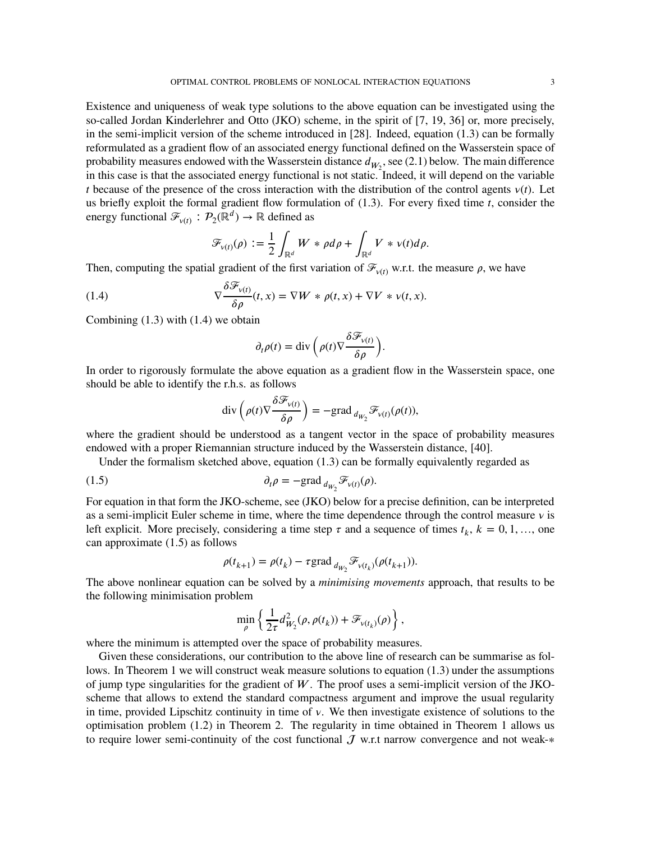Existence and uniqueness of weak type solutions to the above equation can be investigated using the so-called Jordan Kinderlehrer and Otto (JKO) scheme, in the spirit of [\[7,](#page-24-12) [19,](#page-25-23) [36\]](#page-25-24) or, more precisely, in the semi-implicit version of the scheme introduced in [\[28\]](#page-25-25). Indeed, equation [\(1.3\)](#page-1-1) can be formally reformulated as a gradient flow of an associated energy functional defined on the Wasserstein space of probability measures endowed with the Wasserstein distance  $d_{W_2}$ , see [\(2.1\)](#page-3-0) below. The main difference in this case is that the associated energy functional is not static. Indeed, it will depend on the variable *t* because of the presence of the cross interaction with the distribution of the control agents  $v(t)$ . Let us briefly exploit the formal gradient flow formulation of [\(1.3\)](#page-1-1). For every fixed time *t*, consider the energy functional  $\mathcal{F}_{\nu(t)}$ :  $\mathcal{P}_2(\mathbb{R}^d) \to \mathbb{R}$  defined as

<span id="page-2-0"></span>
$$
\mathscr{F}_{\nu(t)}(\rho) := \frac{1}{2} \int_{\mathbb{R}^d} W * \rho d\rho + \int_{\mathbb{R}^d} V * \nu(t) d\rho.
$$

Then, computing the spatial gradient of the first variation of  $\mathcal{F}_{\nu(t)}$  w.r.t. the measure  $\rho$ , we have

(1.4) 
$$
\nabla \frac{\delta \mathcal{F}_{\nu(t)}}{\delta \rho}(t,x) = \nabla W * \rho(t,x) + \nabla V * \nu(t,x).
$$

Combining [\(1.3\)](#page-1-1) with [\(1.4\)](#page-2-0) we obtain

$$
\partial_t \rho(t) = \text{div}\left(\rho(t)\nabla \frac{\delta \mathcal{F}_{v(t)}}{\delta \rho}\right).
$$

In order to rigorously formulate the above equation as a gradient flow in the Wasserstein space, one should be able to identify the r.h.s. as follows

<span id="page-2-1"></span>
$$
\operatorname{div}\left(\rho(t)\nabla \frac{\delta \mathcal{F}_{v(t)}}{\delta \rho}\right) = -\mathrm{grad}\,_{d_{W_2}} \mathcal{F}_{v(t)}(\rho(t)),
$$

where the gradient should be understood as a tangent vector in the space of probability measures endowed with a proper Riemannian structure induced by the Wasserstein distance, [\[40\]](#page-25-26).

Under the formalism sketched above, equation  $(1.3)$  can be formally equivalently regarded as

(1.5) 
$$
\partial_t \rho = -\text{grad}_{d_{W_2}} \mathcal{F}_{\nu(t)}(\rho).
$$

For equation in that form the JKO-scheme, see [\(JKO\)](#page-10-0) below for a precise definition, can be interpreted as a semi-implicit Euler scheme in time, where the time dependence through the control measure  $\nu$  is left explicit. More precisely, considering a time step  $\tau$  and a sequence of times  $t_k$ ,  $k = 0, 1, \ldots$ , one can approximate [\(1.5\)](#page-2-1) as follows

$$
\rho(t_{k+1}) = \rho(t_k) - \tau \text{grad}_{d_{W_2}} \mathcal{F}_{v(t_k)}(\rho(t_{k+1})).
$$

The above nonlinear equation can be solved by a *minimising movements* approach, that results to be the following minimisation problem

$$
\min_{\boldsymbol{\rho}} \left\{ \frac{1}{2\tau} d_{W_2}^2(\boldsymbol{\rho},\boldsymbol{\rho}(t_k)) + \mathcal{F}_{\mathsf{v}(t_k)}(\boldsymbol{\rho}) \right\},
$$

where the minimum is attempted over the space of probability measures.

Given these considerations, our contribution to the above line of research can be summarise as follows. In Theorem [1](#page-4-0) we will construct weak measure solutions to equation [\(1.3\)](#page-1-1) under the assumptions of jump type singularities for the gradient of W. The proof uses a semi-implicit version of the JKOscheme that allows to extend the standard compactness argument and improve the usual regularity in time, provided Lipschitz continuity in time of  $\nu$ . We then investigate existence of solutions to the optimisation problem [\(1.2\)](#page-1-0) in Theorem [2.](#page-4-1) The regularity in time obtained in Theorem [1](#page-4-0) allows us to require lower semi-continuity of the cost functional  $\mathcal J$  w.r.t narrow convergence and not weak-\*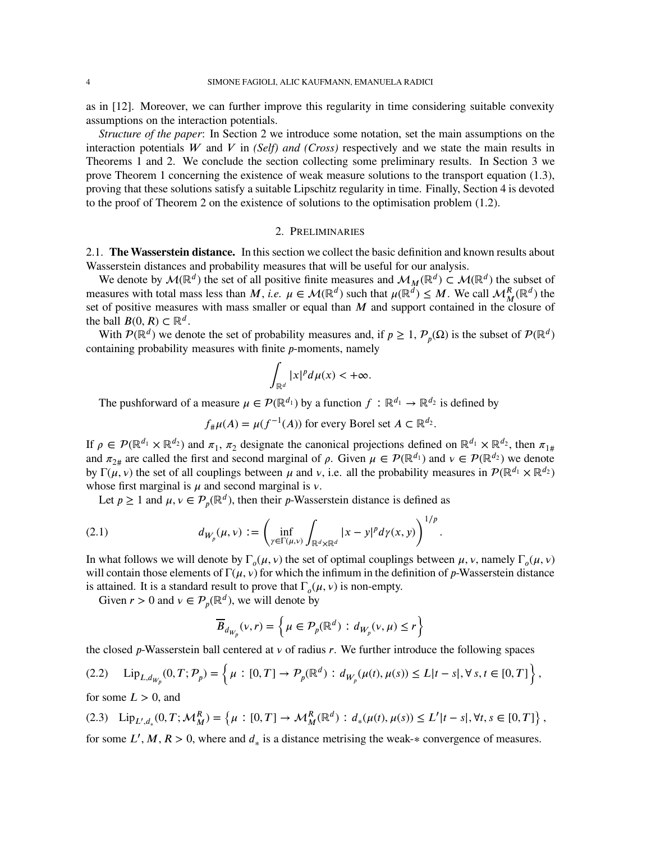as in [\[12\]](#page-24-0). Moreover, we can further improve this regularity in time considering suitable convexity assumptions on the interaction potentials.

*Structure of the paper*: In Section [2](#page-3-1) we introduce some notation, set the main assumptions on the interaction potentials *W* and *V* in *(Self) and (Cross)* respectively and we state the main results in Theorems [1](#page-4-0) and [2.](#page-4-1) We conclude the section collecting some preliminary results. In Section [3](#page-9-0) we prove Theorem [1](#page-4-0) concerning the existence of weak measure solutions to the transport equation [\(1.3\)](#page-1-1), proving that these solutions satisfy a suitable Lipschitz regularity in time. Finally, Section [4](#page-22-0) is devoted to the proof of Theorem [2](#page-4-1) on the existence of solutions to the optimisation problem [\(1.2\)](#page-1-0).

## 2. PRELIMINARIES

<span id="page-3-1"></span>2.1. **The Wasserstein distance.** In this section we collect the basic definition and known results about Wasserstein distances and probability measures that will be useful for our analysis.

We denote by  $\mathcal{M}(\mathbb{R}^d)$  the set of all positive finite measures and  $\mathcal{M}_M(\mathbb{R}^d) \subset \mathcal{M}(\mathbb{R}^d)$  the subset of measures with total mass less than *M*, *i.e.*  $\mu \in \mathcal{M}(\mathbb{R}^d)$  such that  $\mu(\mathbb{R}^d) \leq M$ . We call  $\mathcal{M}_M^R(\mathbb{R}^d)$  the set of positive measures with mass smaller or equal than *M* and support contained in the closure of the ball  $B(0, R) \subset \mathbb{R}^d$ .

With  $\mathcal{P}(\mathbb{R}^d)$  we denote the set of probability measures and, if  $p \geq 1$ ,  $\mathcal{P}_p(\Omega)$  is the subset of  $\mathcal{P}(\mathbb{R}^d)$ containing probability measures with finite *p*-moments, namely

$$
\int_{\mathbb{R}^d} |x|^p d\mu(x) < +\infty.
$$

The pushforward of a measure  $\mu \in \mathcal{P}(\mathbb{R}^{d_1})$  by a function  $f : \mathbb{R}^{d_1} \to \mathbb{R}^{d_2}$  is defined by

 $f_{\#}\mu(A) = \mu(f^{-1}(A))$  for every Borel set  $A \subset \mathbb{R}^{d_2}$ .

If  $\rho \in \mathcal{P}(\mathbb{R}^{d_1} \times \mathbb{R}^{d_2})$  and  $\pi_1$ ,  $\pi_2$  designate the canonical projections defined on  $\mathbb{R}^{d_1} \times \mathbb{R}^{d_2}$ , then  $\pi_{1\#}$ and  $\pi_{2\#}$  are called the first and second marginal of  $\rho$ . Given  $\mu \in \mathcal{P}(\mathbb{R}^{d_1})$  and  $\nu \in \mathcal{P}(\mathbb{R}^{d_2})$  we denote by Γ( $\mu$ ,  $\nu$ ) the set of all couplings between  $\mu$  and  $\nu$ , i.e. all the probability measures in  $\mathcal{P}(\mathbb{R}^{d_1} \times \mathbb{R}^{d_2})$ whose first marginal is  $\mu$  and second marginal is  $\nu$ .

Let  $p \ge 1$  and  $\mu, \nu \in \mathcal{P}_p(\mathbb{R}^d)$ , then their *p*-Wasserstein distance is defined as

(2.1) 
$$
d_{W_p}(\mu, \nu) := \left( \inf_{\gamma \in \Gamma(\mu, \nu)} \int_{\mathbb{R}^d \times \mathbb{R}^d} |x - y|^p d\gamma(x, y) \right)^{1/p}.
$$

In what follows we will denote by  $\Gamma_o(\mu, \nu)$  the set of optimal couplings between  $\mu, \nu$ , namely  $\Gamma_o(\mu, \nu)$ will contain those elements of  $\Gamma(\mu, \nu)$  for which the infimum in the definition of *p*-Wasserstein distance is attained. It is a standard result to prove that  $\Gamma_o(\mu, \nu)$  is non-empty.

Given  $r > 0$  and  $v \in P_p(\mathbb{R}^d)$ , we will denote by

<span id="page-3-0"></span>
$$
\overline{B}_{d_{W_p}}(v,r) = \left\{ \mu \in \mathcal{P}_p(\mathbb{R}^d) : d_{W_p}(v,\mu) \le r \right\}
$$

the closed  $p$ -Wasserstein ball centered at  $v$  of radius  $r$ . We further introduce the following spaces

$$
(2.2) \quad \text{Lip}_{L,d_{W_p}}(0,T;\mathcal{P}_p) = \left\{ \mu : [0,T] \to \mathcal{P}_p(\mathbb{R}^d) : d_{W_p}(\mu(t),\mu(s)) \le L|t-s|, \forall s,t \in [0,T] \right\},
$$

for some  $L > 0$ , and

(2.3) 
$$
\text{Lip}_{L',d_*}(0,T;\mathcal{M}_M^R) = \left\{ \mu : [0,T] \to \mathcal{M}_M^R(\mathbb{R}^d) : d_*(\mu(t), \mu(s)) \leq L'|t-s|, \forall t, s \in [0,T] \right\},
$$
 for some  $L', M, R > 0$ , where and  $d_*$  is a distance metrising the weak- $*$  convergence of measures.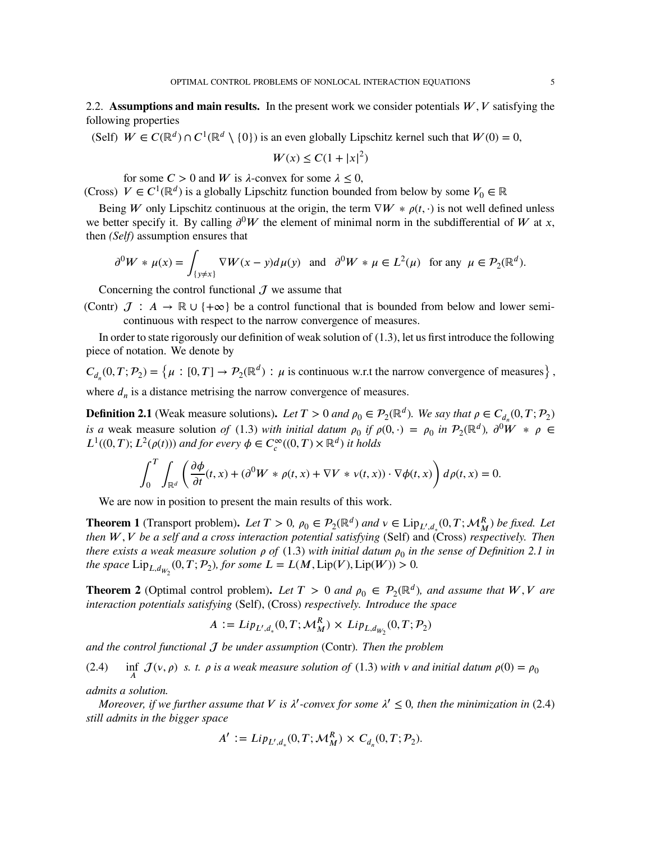2.2. **Assumptions and main results.** In the present work we consider potentials  $W, V$  satisfying the following properties

(Self)  $W \in C(\mathbb{R}^d) \cap C^1(\mathbb{R}^d \setminus \{0\})$  is an even globally Lipschitz kernel such that  $W(0) = 0$ ,

$$
W(x) \le C(1+|x|^2)
$$

for some  $C > 0$  and W is  $\lambda$ -convex for some  $\lambda \leq 0$ ,

(Cross)  $V \in C^1(\mathbb{R}^d)$  is a globally Lipschitz function bounded from below by some  $V_0 \in \mathbb{R}$ 

Being *W* only Lipschitz continuous at the origin, the term  $\nabla W * \rho(t, \cdot)$  is not well defined unless we better specify it. By calling  $\partial^0 W$  the element of minimal norm in the subdifferential of *W* at *x*, then *(Self)* assumption ensures that

$$
\partial^0 W * \mu(x) = \int_{\{y \neq x\}} \nabla W(x - y) d\mu(y) \quad \text{and} \quad \partial^0 W * \mu \in L^2(\mu) \quad \text{for any} \ \mu \in \mathcal{P}_2(\mathbb{R}^d).
$$

Concerning the control functional  $\mathcal{J}$  we assume that

(Contr)  $J : A \to \mathbb{R} \cup \{+\infty\}$  be a control functional that is bounded from below and lower semicontinuous with respect to the narrow convergence of measures.

In order to state rigorously our definition of weak solution of [\(1.3\)](#page-1-1), let us first introduce the following piece of notation. We denote by

 $C_{d_n}(0,T; \mathcal{P}_2) = \left\{ \mu : [0,T] \to \mathcal{P}_2(\mathbb{R}^d) : \mu \text{ is continuous w.r.t the narrow convergence of measures} \right\},$ where  $d_n$  is a distance metrising the narrow convergence of measures.

<span id="page-4-2"></span>**Definition 2.1** (Weak measure solutions). Let  $T > 0$  and  $\rho_0 \in \mathcal{P}_2(\mathbb{R}^d)$ . We say that  $\rho \in C_{d_n}(0, T; \mathcal{P}_2)$ *is a* weak measure solution *of* [\(1.3\)](#page-1-1) *with initial datum*  $\rho_0$  *if*  $\rho(0, \cdot) = \rho_0$  *in*  $\mathcal{P}_2(\mathbb{R}^d)$ ,  $\partial^0 W * \rho \in$  $L^1((0,T); L^2(\rho(t)))$  *and for every*  $\phi \in C_c^{\infty}((0,T) \times \mathbb{R}^d)$  *it holds* 

$$
\int_0^T \int_{\mathbb{R}^d} \left( \frac{\partial \phi}{\partial t}(t, x) + (\partial^0 W * \rho(t, x) + \nabla V * v(t, x)) \cdot \nabla \phi(t, x) \right) d\rho(t, x) = 0.
$$

We are now in position to present the main results of this work.

<span id="page-4-0"></span>**Theorem 1** (Transport problem). Let  $T > 0$ ,  $\rho_0 \in \mathcal{P}_2(\mathbb{R}^d)$  and  $v \in \text{Lip}_{L',d_*}(0,T; \mathcal{M}_M^R)$  be fixed. Let *then 𝑊 , 𝑉 be a self and a cross interaction potential satisfying* (Self) and (Cross) *respectively. Then there exists a weak measure solution*  $\rho$  *of* [\(1.3\)](#page-1-1) with initial datum  $\rho_0$  in the sense of Definition [2.1](#page-4-2) in *the space*  $\text{Lip}_{L,d_{W_2}}(0,T; \mathcal{P}_2)$ , for some  $L = L(M, \text{Lip}(V), \text{Lip}(W)) > 0$ .

<span id="page-4-1"></span>**Theorem 2** (Optimal control problem). Let  $T > 0$  and  $\rho_0 \in P_2(\mathbb{R}^d)$ , and assume that  $W, V$  are *interaction potentials satisfying* (Self), (Cross) *respectively. Introduce the space*

$$
A := Lip_{L',d_*}(0,T; \mathcal{M}_M^R) \times Lip_{L,d_{W_2}}(0,T; \mathcal{P}_2)
$$

*and the control functional be under assumption* (Contr)*. Then the problem*

<span id="page-4-3"></span>(2.4) 
$$
\inf_{A} J(v, \rho) \text{ s. } t. \rho \text{ is a weak measure solution of (1.3) with } v \text{ and initial datum } \rho(0) = \rho_0
$$

*admits a solution.*

*Moreover, if we further assume that*  $V$  *is*  $\lambda'$ -convex for some  $\lambda' \leq 0$ , then the minimization in [\(2.4\)](#page-4-3) *still admits in the bigger space*

$$
A' := Lip_{L',d_*}(0,T; \mathcal{M}_M^R) \times C_{d_n}(0,T; \mathcal{P}_2).
$$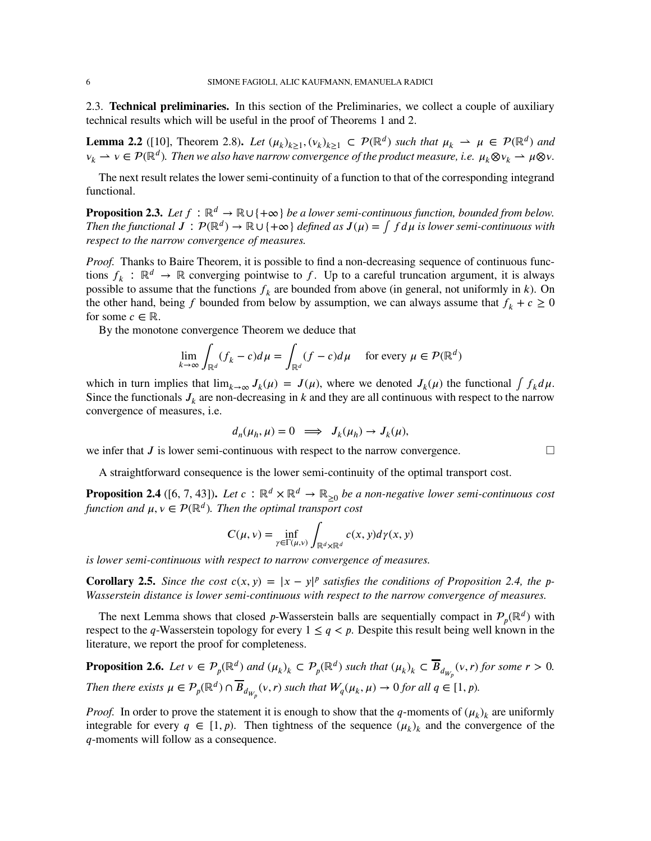2.3. **Technical preliminaries.** In this section of the Preliminaries, we collect a couple of auxiliary technical results which will be useful in the proof of Theorems [1](#page-4-0) and [2.](#page-4-1)

<span id="page-5-3"></span>**Lemma 2.2** ([\[10\]](#page-24-13), Theorem 2.8). Let  $(\mu_k)_{k\geq 1}, (\nu_k)_{k\geq 1} \subset \mathcal{P}(\mathbb{R}^d)$  such that  $\mu_k \to \mu \in \mathcal{P}(\mathbb{R}^d)$  and  $\nu_k \to \nu \in \mathcal{P}(\mathbb{R}^d)$ . Then we also have narrow convergence of the product measure, i.e.  $\mu_k \otimes \nu_k \to \mu \otimes \nu$ .

The next result relates the lower semi-continuity of a function to that of the corresponding integrand functional.

<span id="page-5-4"></span>**Proposition 2.3.** *Let*  $f : \mathbb{R}^d \to \mathbb{R} \cup \{+\infty\}$  *be a lower semi-continuous function, bounded from below. Then the functional*  $J: \mathcal{P}(\mathbb{R}^d) \to \mathbb{R} \cup \{+\infty\}$  *defined as*  $J(\mu) = \int f d\mu$  *is lower semi-continuous with respect to the narrow convergence of measures.*

*Proof.* Thanks to Baire Theorem, it is possible to find a non-decreasing sequence of continuous functions  $f_k$ :  $\mathbb{R}^d \to \mathbb{R}$  converging pointwise to f. Up to a careful truncation argument, it is always possible to assume that the functions  $f_k$  are bounded from above (in general, not uniformly in  $k$ ). On the other hand, being *f* bounded from below by assumption, we can always assume that  $f_k + c \geq 0$ for some  $c \in \mathbb{R}$ .

By the monotone convergence Theorem we deduce that

$$
\lim_{k \to \infty} \int_{\mathbb{R}^d} (f_k - c) d\mu = \int_{\mathbb{R}^d} (f - c) d\mu \quad \text{ for every } \mu \in \mathcal{P}(\mathbb{R}^d)
$$

which in turn implies that  $\lim_{k\to\infty} J_k(\mu) = J(\mu)$ , where we denoted  $J_k(\mu)$  the functional  $\int f_k d\mu$ . Since the functionals  $J_k$  are non-decreasing in  $k$  and they are all continuous with respect to the narrow convergence of measures, i.e.

$$
d_n(\mu_h,\mu)=0\ \implies\ J_k(\mu_h)\to J_k(\mu),
$$

we infer that  $J$  is lower semi-continuous with respect to the narrow convergence.

A straightforward consequence is the lower semi-continuity of the optimal transport cost.

<span id="page-5-0"></span>**Proposition 2.4** ([\[6,](#page-24-14) [7,](#page-24-12) [43\]](#page-25-27)). Let  $c : \mathbb{R}^d \times \mathbb{R}^d \to \mathbb{R}_{\geq 0}$  be a non-negative lower semi-continuous cost *function and*  $\mu, \nu \in \mathcal{P}(\mathbb{R}^d)$ . Then the optimal transport cost

$$
C(\mu, \nu) = \inf_{\gamma \in \Gamma(\mu, \nu)} \int_{\mathbb{R}^d \times \mathbb{R}^d} c(x, y) d\gamma(x, y)
$$

*is lower semi-continuous with respect to narrow convergence of measures.*

<span id="page-5-1"></span>**Corollary 2.5.** Since the cost  $c(x, y) = |x - y|^p$  satisfies the conditions of Proposition [2.4,](#page-5-0) the p-*Wasserstein distance is lower semi-continuous with respect to the narrow convergence of measures.*

The next Lemma shows that closed *p*-Wasserstein balls are sequentially compact in  $\mathcal{P}_p(\mathbb{R}^d)$  with respect to the *q*-Wasserstein topology for every  $1 \le q < p$ . Despite this result being well known in the literature, we report the proof for completeness.

<span id="page-5-2"></span>**Proposition 2.6.** Let  $v \in \mathcal{P}_p(\mathbb{R}^d)$  and  $(\mu_k)_k \subset \mathcal{P}_p(\mathbb{R}^d)$  such that  $(\mu_k)_k \subset \overline{B}_{d_{W_p}}(v,r)$  for some  $r > 0$ . *Then there exists*  $\mu \in \mathcal{P}_p(\mathbb{R}^d) \cap \overline{B}_{d_{W_p}}(\nu, r)$  such that  $W_q(\mu_k, \mu) \to 0$  for all  $q \in [1, p)$ .

*Proof.* In order to prove the statement it is enough to show that the *q*-moments of  $(\mu_k)_k$  are uniformly integrable for every  $q \in [1, p)$ . Then tightness of the sequence  $(\mu_k)_k$  and the convergence of the *q*-moments will follow as a consequence.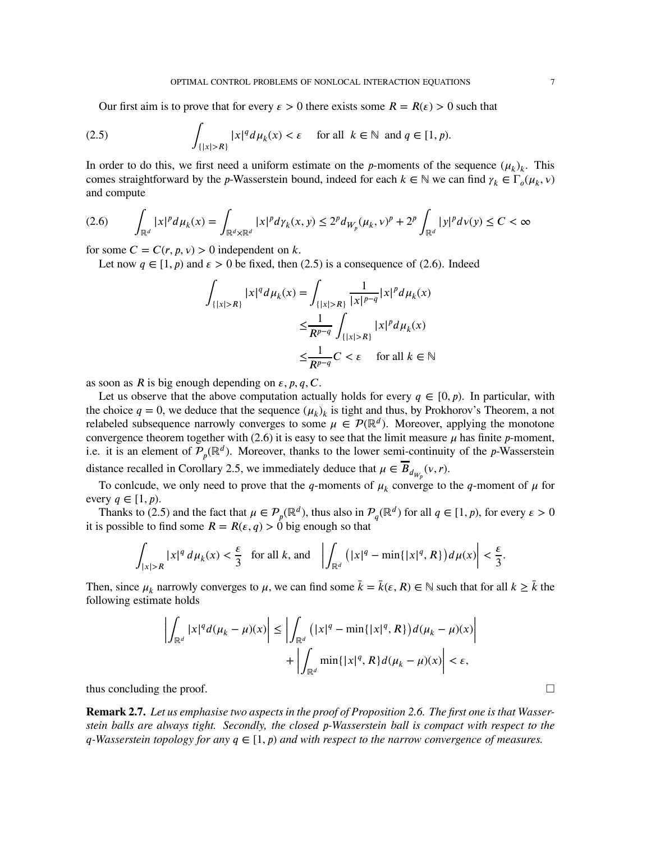<span id="page-6-0"></span>Our first aim is to prove that for every  $\epsilon > 0$  there exists some  $R = R(\epsilon) > 0$  such that

(2.5) 
$$
\int_{\{|x|>R\}} |x|^q d\mu_k(x) < \varepsilon \quad \text{for all } k \in \mathbb{N} \text{ and } q \in [1, p).
$$

In order to do this, we first need a uniform estimate on the *p*-moments of the sequence  $(\mu_k)_k$ . This comes straightforward by the *p*-Wasserstein bound, indeed for each  $k \in \mathbb{N}$  we can find  $\gamma_k \in \Gamma_o(\mu_k, \nu)$ and compute

<span id="page-6-1"></span>
$$
(2.6) \qquad \int_{\mathbb{R}^d} |x|^p d\mu_k(x) = \int_{\mathbb{R}^d \times \mathbb{R}^d} |x|^p d\gamma_k(x, y) \le 2^p d_{W_p}(\mu_k, v)^p + 2^p \int_{\mathbb{R}^d} |y|^p d\nu(y) \le C < \infty
$$

for some  $C = C(r, p, v) > 0$  independent on k.

Let now  $q \in [1, p)$  and  $\varepsilon > 0$  be fixed, then [\(2.5\)](#page-6-0) is a consequence of [\(2.6\)](#page-6-1). Indeed

$$
\int_{\{|x|>R\}} |x|^q d\mu_k(x) = \int_{\{|x|>R\}} \frac{1}{|x|^{p-q}} |x|^p d\mu_k(x)
$$

$$
\leq \frac{1}{R^{p-q}} \int_{\{|x|>R\}} |x|^p d\mu_k(x)
$$

$$
\leq \frac{1}{R^{p-q}} C < \varepsilon \quad \text{for all } k \in \mathbb{N}
$$

as soon as *R* is big enough depending on  $\varepsilon$ ,  $p$ ,  $q$ ,  $C$ .

Let us observe that the above computation actually holds for every  $q \in [0, p)$ . In particular, with the choice  $q = 0$ , we deduce that the sequence  $(\mu_k)_k$  is tight and thus, by Prokhorov's Theorem, a not relabeled subsequence narrowly converges to some  $\mu \in \mathcal{P}(\mathbb{R}^d)$ . Moreover, applying the monotone convergence theorem together with  $(2.6)$  it is easy to see that the limit measure  $\mu$  has finite  $p$ -moment, i.e. it is an element of  $\mathcal{P}_p(\mathbb{R}^d)$ . Moreover, thanks to the lower semi-continuity of the *p*-Wasserstein distance recalled in Corollary [2.5,](#page-5-1) we immediately deduce that  $\mu \in B_{d_{W_p}}(v, r)$ .

To conlcude, we only need to prove that the *q*-moments of  $\mu_k$  converge to the *q*-moment of  $\mu$  for every  $q \in [1, p)$ .

Thanks to [\(2.5\)](#page-6-0) and the fact that  $\mu \in \mathcal{P}_p(\mathbb{R}^d)$ , thus also in  $\mathcal{P}_q(\mathbb{R}^d)$  for all  $q \in [1, p)$ , for every  $\epsilon > 0$ it is possible to find some  $R = R(\varepsilon, q) > 0$  big enough so that

$$
\int_{|x|>R} |x|^q \, d\mu_k(x) < \frac{\varepsilon}{3} \quad \text{for all } k \text{, and} \quad \left| \int_{\mathbb{R}^d} \left( |x|^q - \min\{|x|^q, R\} \right) d\mu(x) \right| < \frac{\varepsilon}{3}.
$$

Then, since  $\mu_k$  narrowly converges to  $\mu$ , we can find some  $\bar{k} = \bar{k}(\varepsilon, R) \in \mathbb{N}$  such that for all  $k \geq \bar{k}$  the following estimate holds

$$
\left| \int_{\mathbb{R}^d} |x|^q d(\mu_k - \mu)(x) \right| \le \left| \int_{\mathbb{R}^d} \left( |x|^q - \min\{|x|^q, R\} \right) d(\mu_k - \mu)(x) \right|
$$

$$
+ \left| \int_{\mathbb{R}^d} \min\{|x|^q, R\} d(\mu_k - \mu)(x) \right| < \varepsilon,
$$

thus concluding the proof.  $\Box$ 

<span id="page-6-2"></span>**Remark 2.7.** *Let us emphasise two aspects in the proof of Proposition [2.6.](#page-5-2) The first one is that Wasserstein balls are always tight. Secondly, the closed 𝑝-Wasserstein ball is compact with respect to the*  $q$ <sup>*-Wasserstein topology for any*  $q \in [1, p)$  *and with respect to the narrow convergence of measures.*</sup>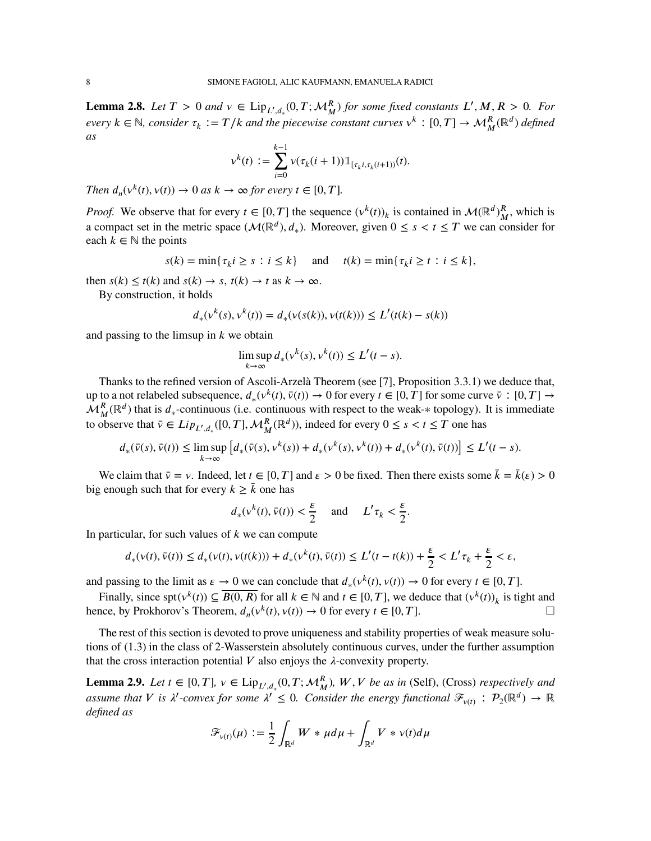<span id="page-7-1"></span>**Lemma 2.8.** *Let*  $T > 0$  *and*  $v \in Lip_{L',d_*}(0,T; \mathcal{M}_M^R)$  *for some fixed constants*  $L', M, R > 0$ *. For*  $e \vee e \vee e \vee f$ , consider  $\tau_k := T/k$  and the piecewise constant curves  $\vee^k : [0, T] \to \mathcal{M}_M^R(\mathbb{R}^d)$  defined *as*

$$
v^{k}(t) := \sum_{i=0}^{k-1} v(\tau_{k}(i+1)) \mathbb{1}_{[\tau_{k}i, \tau_{k}(i+1))}(t).
$$

*Then*  $d_n(v^k(t), v(t)) \to 0$  *as*  $k \to \infty$  *for every*  $t \in [0, T]$ *.* 

*Proof.* We observe that for every  $t \in [0, T]$  the sequence  $(v^k(t))_k$  is contained in  $\mathcal{M}(\mathbb{R}^d)^R$  $^R_M$ , which is a compact set in the metric space  $(\mathcal{M}(\mathbb{R}^d), d_*)$ . Moreover, given  $0 \le s < t \le T$  we can consider for each  $k \in \mathbb{N}$  the points

$$
s(k) = \min\{\tau_k i \ge s : i \le k\} \quad \text{and} \quad t(k) = \min\{\tau_k i \ge t : i \le k\},
$$

then  $s(k) \leq t(k)$  and  $s(k) \to s$ ,  $t(k) \to t$  as  $k \to \infty$ .

By construction, it holds

$$
d_*(v^k(s), v^k(t)) = d_*(v(s(k)), v(t(k))) \le L'(t(k) - s(k))
$$

and passing to the limsup in  *we obtain* 

$$
\limsup_{k \to \infty} d_*(v^k(s), v^k(t)) \le L'(t - s).
$$

Thanks to the refined version of Ascoli-Arzelà Theorem (see [\[7\]](#page-24-12), Proposition 3.3.1) we deduce that, up to a not relabeled subsequence,  $d_*(v^k(t), \bar{v}(t)) \to 0$  for every  $t \in [0, T]$  for some curve  $\bar{v} : [0, T] \to$  $\mathcal{M}_{M}^{R}(\mathbb{R}^{d})$  that is  $d_{*}$ -continuous (i.e. continuous with respect to the weak- $*$  topology). It is immediate to observe that  $\bar{v} \in Lip_{L',d_*}([0,T],\mathcal{M}_M^R(\mathbb{R}^d))$ , indeed for every  $0 \le s < t \le T$  one has

$$
d_*(\bar{v}(s), \bar{v}(t)) \le \limsup_{k \to \infty} \left[ d_*(\bar{v}(s), v^k(s)) + d_*(v^k(s), v^k(t)) + d_*(v^k(t), \bar{v}(t)) \right] \le L'(t-s).
$$

We claim that  $\bar{v} = v$ . Indeed, let  $t \in [0, T]$  and  $\varepsilon > 0$  be fixed. Then there exists some  $\bar{k} = \bar{k}(\varepsilon) > 0$ big enough such that for every  $k \geq \bar{k}$  one has

$$
d_*(v^k(t), \bar{v}(t)) < \frac{\varepsilon}{2}
$$
 and  $L' \tau_k < \frac{\varepsilon}{2}$ .

In particular, for such values of *k* we can compute

$$
d_*(v(t),\overline{v}(t)) \leq d_*(v(t),v(t(k))) + d_*(v^k(t),\overline{v}(t)) \leq L'(t-t(k)) + \frac{\varepsilon}{2} < L'\tau_k + \frac{\varepsilon}{2} < \varepsilon,
$$

and passing to the limit as  $\varepsilon \to 0$  we can conclude that  $d_*(v^k(t), v(t)) \to 0$  for every  $t \in [0, T]$ .

Finally, since spt $(v^k(t)) \subseteq \overline{B(0, R)}$  for all  $k \in \mathbb{N}$  and  $t \in [0, T]$ , we deduce that  $(v^k(t))_k$  is tight and hence, by Prokhorov's Theorem,  $d_n(v^k(t), v(t)) \to 0$  for every  $t \in [0, T]$ .

The rest of this section is devoted to prove uniqueness and stability properties of weak measure solutions of [\(1.3\)](#page-1-1) in the class of 2-Wasserstein absolutely continuous curves, under the further assumption that the cross interaction potential  $V$  also enjoys the  $\lambda$ -convexity property.

<span id="page-7-0"></span>**Lemma 2.9.** *Let*  $t \in [0, T]$ ,  $v \in Lip_{L', d_*}(0, T; \mathcal{M}_M^R)$ ,  $W, V$  be as in (Self), (Cross) respectively and  $a$ *ssume that*  $V$  *is*  $\lambda'$ -convex for some  $\lambda' \leq 0$ . Consider the energy functional  $\mathcal{F}_{\nu(t)}$  :  $\mathcal{P}_2(\mathbb{R}^d) \to \mathbb{R}$ *defined as*

$$
\mathscr{F}_{\nu(t)}(\mu) := \frac{1}{2} \int_{\mathbb{R}^d} W \ast \mu d\mu + \int_{\mathbb{R}^d} V \ast \nu(t) d\mu
$$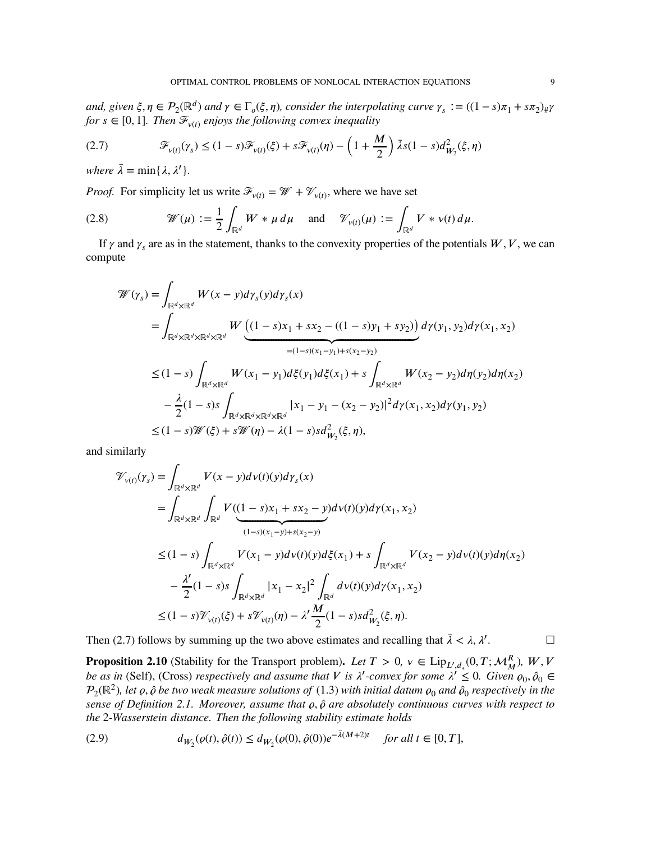and, given  $\xi, \eta \in \mathcal{P}_2(\mathbb{R}^d)$  and  $\gamma \in \Gamma_o(\xi, \eta)$ , consider the interpolating curve  $\gamma_s := ((1 - s)\pi_1 + s\pi_2)_\#\gamma$  $f \circ f$   $\in [0, 1]$ *. Then*  $\mathcal{F}_{v(t)}$  enjoys the following convex inequality

<span id="page-8-0"></span>(2.7) 
$$
\mathcal{F}_{\nu(t)}(\gamma_s) \leq (1-s)\mathcal{F}_{\nu(t)}(\xi) + s\mathcal{F}_{\nu(t)}(\eta) - \left(1+\frac{M}{2}\right)\bar{\lambda}s(1-s)d_{W_2}^2(\xi,\eta)
$$

*where*  $\bar{\lambda} = \min\{\lambda, \lambda'\}.$ 

*Proof.* For simplicity let us write  $\mathcal{F}_{v(t)} = \mathcal{W} + \mathcal{V}_{v(t)}$ , where we have set

(2.8) 
$$
\mathcal{W}(\mu) := \frac{1}{2} \int_{\mathbb{R}^d} W \ast \mu \, d\mu \quad \text{and} \quad \mathcal{V}_{\nu(t)}(\mu) := \int_{\mathbb{R}^d} V \ast \nu(t) \, d\mu.
$$

If  $\gamma$  and  $\gamma_s$  are as in the statement, thanks to the convexity properties of the potentials  $W, V$ , we can compute

$$
\mathcal{W}(\gamma_{s}) = \int_{\mathbb{R}^{d} \times \mathbb{R}^{d}} W(x - y) d\gamma_{s}(y) d\gamma_{s}(x)
$$
\n
$$
= \int_{\mathbb{R}^{d} \times \mathbb{R}^{d} \times \mathbb{R}^{d} \times \mathbb{R}^{d}} W \underbrace{\left( (1 - s)x_{1} + sx_{2} - ((1 - s)y_{1} + sy_{2}) \right)}_{= (1 - s)(x_{1} - y_{1}) + s(x_{2} - y_{2})} d\gamma(y_{1}, y_{2}) d\gamma(x_{1}, x_{2})
$$
\n
$$
\leq (1 - s) \int_{\mathbb{R}^{d} \times \mathbb{R}^{d}} W(x_{1} - y_{1}) d\xi(y_{1}) d\xi(x_{1}) + s \int_{\mathbb{R}^{d} \times \mathbb{R}^{d}} W(x_{2} - y_{2}) d\eta(y_{2}) d\eta(x_{2})
$$
\n
$$
- \frac{\lambda}{2} (1 - s)s \int_{\mathbb{R}^{d} \times \mathbb{R}^{d} \times \mathbb{R}^{d} \times \mathbb{R}^{d}} |x_{1} - y_{1} - (x_{2} - y_{2})|^{2} d\gamma(x_{1}, x_{2}) d\gamma(y_{1}, y_{2})
$$
\n
$$
\leq (1 - s)\mathcal{W}(\xi) + s\mathcal{W}(\eta) - \lambda(1 - s)s d_{W_{2}}^{2}(\xi, \eta),
$$

and similarly

$$
\mathcal{V}_{v(t)}(\gamma_{s}) = \int_{\mathbb{R}^{d} \times \mathbb{R}^{d}} V(x - y) d\upsilon(t)(y) d\gamma_{s}(x)
$$
  
\n
$$
= \int_{\mathbb{R}^{d} \times \mathbb{R}^{d}} \int_{\mathbb{R}^{d}} V(\underbrace{(1 - s)x_{1} + sx_{2} - y}_{(1 - s)(x_{1} - y) + s(x_{2} - y)} d\upsilon(t)(y) d\gamma(x_{1}, x_{2})
$$
  
\n
$$
\leq (1 - s) \int_{\mathbb{R}^{d} \times \mathbb{R}^{d}} V(x_{1} - y) d\upsilon(t)(y) d\xi(x_{1}) + s \int_{\mathbb{R}^{d} \times \mathbb{R}^{d}} V(x_{2} - y) d\upsilon(t)(y) d\eta(x_{2})
$$
  
\n
$$
- \frac{\lambda'}{2} (1 - s)s \int_{\mathbb{R}^{d} \times \mathbb{R}^{d}} |x_{1} - x_{2}|^{2} \int_{\mathbb{R}^{d}} d\upsilon(t)(y) d\gamma(x_{1}, x_{2})
$$
  
\n
$$
\leq (1 - s) \mathcal{V}_{v(t)}(\xi) + s \mathcal{V}_{v(t)}(\eta) - \lambda' \frac{M}{2} (1 - s) s d_{W_{2}}^{2}(\xi, \eta).
$$

Then [\(2.7\)](#page-8-0) follows by summing up the two above estimates and recalling that  $\bar{\lambda} < \lambda, \lambda'$ .

<span id="page-8-2"></span>**Proposition 2.10** (Stability for the Transport problem). Let  $T > 0$ ,  $v \in Lip_{L',d_*}(0,T; \mathcal{M}_M^R)$ ,  $W, V$ *be as in* (Self), (Cross) *respectively and assume that V* is  $\lambda'$ -convex for some  $\lambda' \leq 0$ . Given  $\varrho_0, \hat{\varrho}_0 \in$  $\mathcal{P}_2(\mathbb{R}^2)$ , let  $\varrho,\hat{\varrho}$  be two weak measure solutions of  $(1.3)$  with initial datum  $\varrho_0$  and  $\hat{\varrho}_0$  respectively in the *sense of Definition* [2.1.](#page-4-2) *Moreover, assume that*  $\rho$ ,  $\hat{\rho}$  *are absolutely continuous curves with respect to the* 2*-Wasserstein distance. Then the following stability estimate holds*

<span id="page-8-1"></span>(2.9) 
$$
d_{W_2}(\rho(t), \hat{\rho}(t)) \le d_{W_2}(\rho(0), \hat{\rho}(0)) e^{-\bar{\lambda}(M+2)t} \quad \text{for all } t \in [0, T],
$$

 $\Box$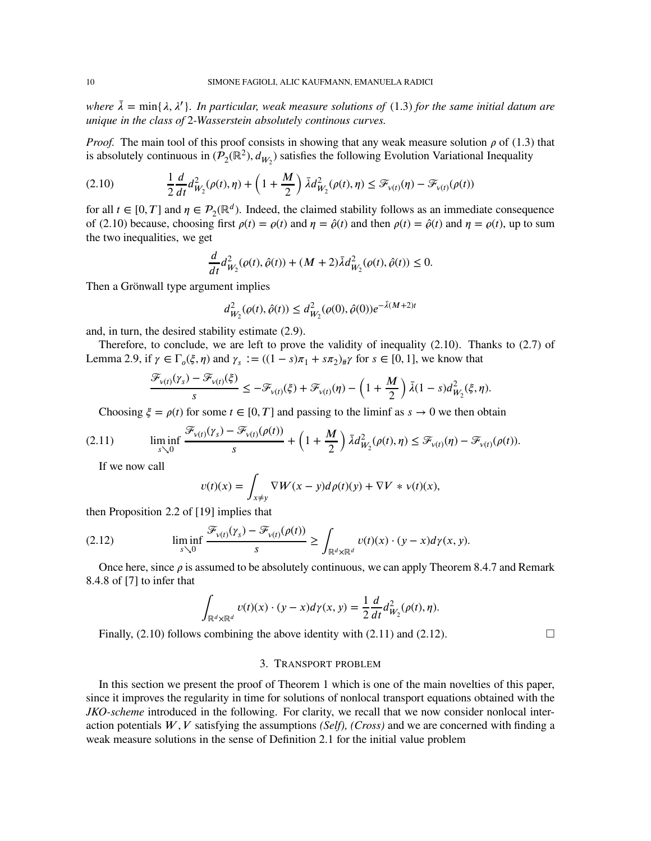*where*  $\bar{\lambda}$  = min{ $\lambda$ ,  $\lambda'$ }. In particular, weak measure solutions of [\(1.3\)](#page-1-1) for the same initial datum are *unique in the class of* 2*-Wasserstein absolutely continous curves.*

*Proof.* The main tool of this proof consists in showing that any weak measure solution  $\rho$  of [\(1.3\)](#page-1-1) that is absolutely continuous in  $(\mathcal{P}_2(\mathbb{R}^2), d_{W_2})$  satisfies the following Evolution Variational Inequality

<span id="page-9-1"></span>(2.10) 
$$
\frac{1}{2} \frac{d}{dt} d_{W_2}^2(\rho(t), \eta) + \left(1 + \frac{M}{2}\right) \bar{\lambda} d_{W_2}^2(\rho(t), \eta) \leq \mathcal{F}_{v(t)}(\eta) - \mathcal{F}_{v(t)}(\rho(t))
$$

for all  $t \in [0, T]$  and  $\eta \in \mathcal{P}_2(\mathbb{R}^d)$ . Indeed, the claimed stability follows as an immediate consequence of [\(2.10\)](#page-9-1) because, choosing first  $\rho(t) = \rho(t)$  and  $\eta = \hat{\rho}(t)$  and then  $\rho(t) = \hat{\rho}(t)$  and  $\eta = \rho(t)$ , up to sum the two inequalities, we get

$$
\frac{d}{dt}d_{W_2}^2(\varrho(t),\hat{\varrho}(t)) + (M+2)\bar{\lambda}d_{W_2}^2(\varrho(t),\hat{\varrho}(t)) \le 0.
$$

Then a Grönwall type argument implies

$$
d_{W_2}^2(\varrho(t), \hat{\varrho}(t)) \le d_{W_2}^2(\varrho(0), \hat{\varrho}(0)) e^{-\bar{\lambda}(M+2)t}
$$

and, in turn, the desired stability estimate [\(2.9\)](#page-8-1).

Therefore, to conclude, we are left to prove the validity of inequality  $(2.10)$ . Thanks to  $(2.7)$  of Lemma [2.9,](#page-7-0) if  $\gamma \in \Gamma_o(\xi, \eta)$  and  $\gamma_s := ((1 - s)\pi_1 + s\pi_2)_{\#}\gamma$  for  $s \in [0, 1]$ , we know that

$$
\frac{\mathcal{F}_{\nu(t)}(\gamma_s) - \mathcal{F}_{\nu(t)}(\xi)}{s} \leq -\mathcal{F}_{\nu(t)}(\xi) + \mathcal{F}_{\nu(t)}(\eta) - \left(1 + \frac{M}{2}\right)\bar{\lambda}(1 - s)d_{W_2}^2(\xi, \eta).
$$

<span id="page-9-2"></span>Choosing  $\xi = \rho(t)$  for some  $t \in [0, T]$  and passing to the liminf as  $s \to 0$  we then obtain

$$
(2.11) \qquad \liminf_{s\searrow 0}\frac{\mathcal{F}_{\nu(t)}(\gamma_s)-\mathcal{F}_{\nu(t)}(\rho(t))}{s}+\left(1+\frac{M}{2}\right)\bar{\lambda}d_{W_2}^2(\rho(t),\eta)\leq \mathcal{F}_{\nu(t)}(\eta)-\mathcal{F}_{\nu(t)}(\rho(t)).
$$

If we now call

<span id="page-9-3"></span>
$$
v(t)(x) = \int_{x \neq y} \nabla W(x - y) d\rho(t)(y) + \nabla V * v(t)(x),
$$

then Proposition 2.2 of [\[19\]](#page-25-23) implies that

(2.12) 
$$
\liminf_{s \searrow 0} \frac{\mathcal{F}_{\nu(t)}(\gamma_s) - \mathcal{F}_{\nu(t)}(\rho(t))}{s} \ge \int_{\mathbb{R}^d \times \mathbb{R}^d} \nu(t)(x) \cdot (y - x) d\gamma(x, y).
$$

Once here, since  $\rho$  is assumed to be absolutely continuous, we can apply Theorem 8.4.7 and Remark 8.4.8 of [\[7\]](#page-24-12) to infer that

$$
\int_{\mathbb{R}^d \times \mathbb{R}^d} v(t)(x) \cdot (y - x) d\gamma(x, y) = \frac{1}{2} \frac{d}{dt} d^2_{W_2}(\rho(t), \eta).
$$

<span id="page-9-0"></span>Finally,  $(2.10)$  follows combining the above identity with  $(2.11)$  and  $(2.12)$ .

### 3. TRANSPORT PROBLEM

In this section we present the proof of Theorem [1](#page-4-0) which is one of the main novelties of this paper, since it improves the regularity in time for solutions of nonlocal transport equations obtained with the *JKO-scheme* introduced in the following. For clarity, we recall that we now consider nonlocal interaction potentials *𝑊 , 𝑉* satisfying the assumptions *(Self), (Cross)* and we are concerned with finding a weak measure solutions in the sense of Definition [2.1](#page-4-2) for the initial value problem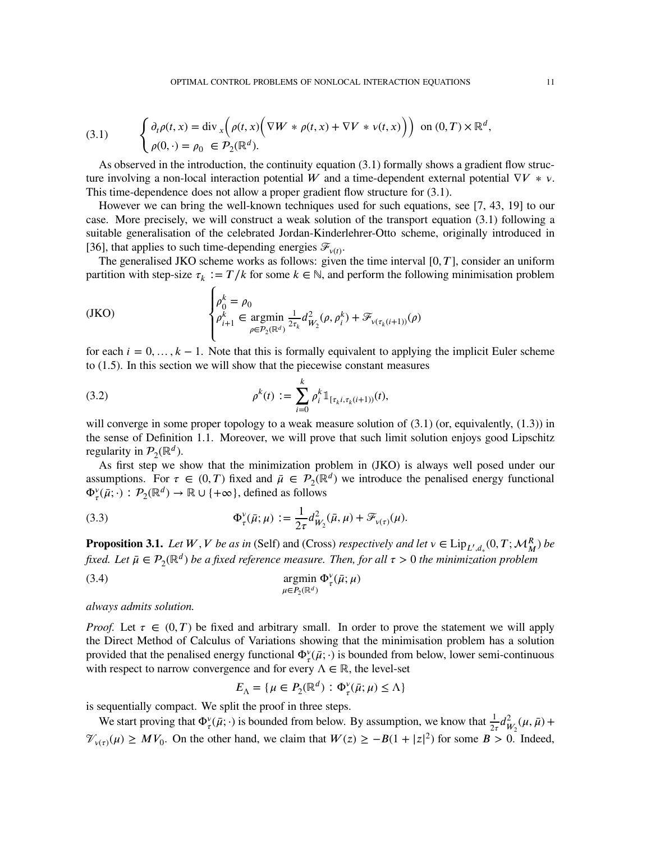<span id="page-10-1"></span>(3.1) 
$$
\begin{cases} \partial_t \rho(t,x) = \text{div}_x \Big( \rho(t,x) \Big( \nabla W * \rho(t,x) + \nabla V * v(t,x) \Big) \Big) & \text{on } (0,T) \times \mathbb{R}^d, \\ \rho(0,\cdot) = \rho_0 \in \mathcal{P}_2(\mathbb{R}^d). \end{cases}
$$

As observed in the introduction, the continuity equation [\(3.1\)](#page-10-1) formally shows a gradient flow structure involving a non-local interaction potential W and a time-dependent external potential  $\nabla V * v$ . This time-dependence does not allow a proper gradient flow structure for [\(3.1\)](#page-10-1).

However we can bring the well-known techniques used for such equations, see [\[7,](#page-24-12) [43,](#page-25-27) [19\]](#page-25-23) to our case. More precisely, we will construct a weak solution of the transport equation [\(3.1\)](#page-10-1) following a suitable generalisation of the celebrated Jordan-Kinderlehrer-Otto scheme, originally introduced in [\[36\]](#page-25-24), that applies to such time-depending energies  $\mathcal{F}_{v(t)}$ .

The generalised JKO scheme works as follows: given the time interval  $[0, T]$ , consider an uniform partition with step-size  $\tau_k := T/k$  for some  $k \in \mathbb{N}$ , and perform the following minimisation problem

<span id="page-10-0"></span>
$$
\text{(JKO)}\qquad \qquad \left\{ \begin{aligned} \rho_0^k &= \rho_0\\ \rho_{i+1}^k & \in \operatorname*{argmin}_{\rho \in \mathcal{P}_2(\mathbb{R}^d)} \frac{1}{2\tau_k} d_{W_2}^2(\rho, \rho_i^k) + \mathcal{F}_{\nu(\tau_k(i+1))}(\rho) \end{aligned} \right.
$$

for each  $i = 0, ..., k - 1$ . Note that this is formally equivalent to applying the implicit Euler scheme to [\(1.5\)](#page-2-1). In this section we will show that the piecewise constant measures

(3.2) 
$$
\rho^{k}(t) := \sum_{i=0}^{k} \rho_i^{k} \mathbb{1}_{[\tau_k i, \tau_k (i+1))}(t),
$$

<span id="page-10-3"></span> $\epsilon$ 

will converge in some proper topology to a weak measure solution of  $(3.1)$  (or, equivalently,  $(1.3)$ ) in the sense of Definition 1.1. Moreover, we will prove that such limit solution enjoys good Lipschitz regularity in  $P_2(\mathbb{R}^d)$ .

As first step we show that the minimization problem in [\(JKO\)](#page-10-0) is always well posed under our assumptions. For  $\tau \in (0, T)$  fixed and  $\bar{\mu} \in \mathcal{P}_2(\mathbb{R}^d)$  we introduce the penalised energy functional  $\Phi_{\tau}^{\nu}(\bar{\mu};\cdot) : \mathcal{P}_{2}(\mathbb{R}^{d}) \to \mathbb{R} \cup \{+\infty\},\$  defined as follows

<span id="page-10-4"></span>(3.3) 
$$
\Phi_{\tau}^{\nu}(\bar{\mu};\mu) := \frac{1}{2\tau} d_{W_2}^2(\bar{\mu},\mu) + \mathcal{F}_{\nu(\tau)}(\mu).
$$

<span id="page-10-2"></span>**Proposition 3.1.** *Let*  $W$ ,  $V$  *be as in* (Self) and (Cross) *respectively and let*  $v \in \text{Lip}_{L',d_*}(0,T; \mathcal{M}_M^R)$  *be fixed. Let*  $\bar{\mu} \in \mathcal{P}_2(\mathbb{R}^d)$  *be a fixed reference measure. Then, for all*  $\tau > 0$  *the minimization problem* 

(3.4) 
$$
\operatorname*{argmin}_{\mu \in P_2(\mathbb{R}^d)} \Phi_{\tau}^{\nu}(\bar{\mu}; \mu)
$$

*always admits solution.*

*Proof.* Let  $\tau \in (0, T)$  be fixed and arbitrary small. In order to prove the statement we will apply the Direct Method of Calculus of Variations showing that the minimisation problem has a solution provided that the penalised energy functional  $\Phi_{\tau}^{\nu}(\bar{\mu};\cdot)$  is bounded from below, lower semi-continuous with respect to narrow convergence and for every  $\Lambda \in \mathbb{R}$ , the level-set

$$
E_{\Lambda} = \{ \mu \in P_2(\mathbb{R}^d) : \Phi_{\tau}^{\vee}(\bar{\mu}; \mu) \le \Lambda \}
$$

is sequentially compact. We split the proof in three steps.

We start proving that  $\Phi_{\tau}^{\nu}(\bar{\mu};\cdot)$  is bounded from below. By assumption, we know that  $\frac{1}{2\tau}d_{\mu}^2$  $^{2}_{W_2}(\mu,\bar{\mu}) +$  $\mathcal{V}_{\nu(\tau)}(\mu) \geq MV_0$ . On the other hand, we claim that  $W(z) \geq -B(1+|z|^2)$  for some *B* > 0. Indeed,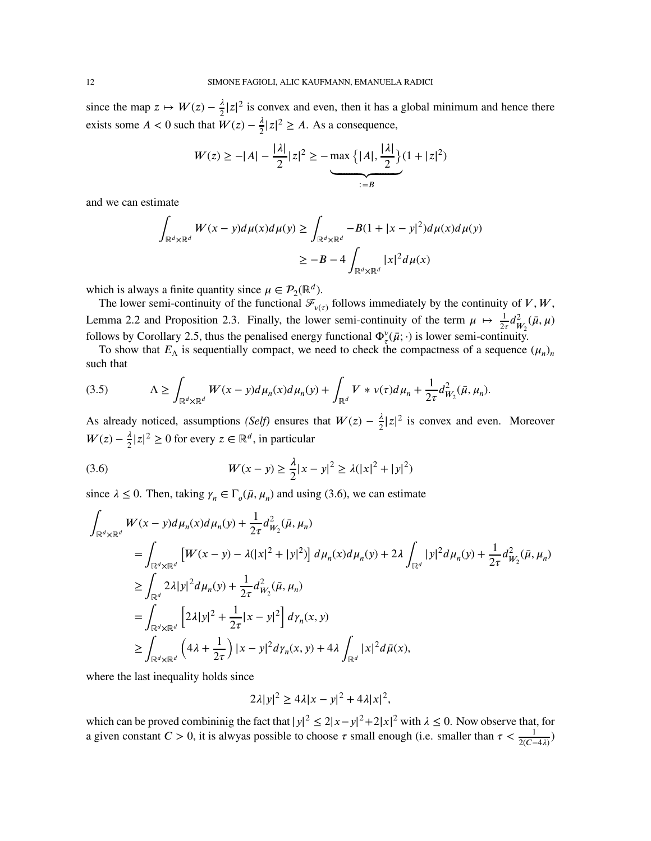since the map  $z \mapsto W(z) - \frac{\lambda}{2} |z|^2$  is convex and even, then it has a global minimum and hence there exists some *A* < 0 such that  $W(z) - \frac{\lambda}{2} |z|^2 \ge A$ . As a consequence,

$$
W(z) \ge -|A| - \frac{|\lambda|}{2}|z|^2 \ge -\max\left\{|A|, \frac{|\lambda|}{2}\right\}(1+|z|^2) \ge -\sum_{z=B} \frac{|\lambda|}{2} \ge 0
$$

and we can estimate

$$
\int_{\mathbb{R}^d \times \mathbb{R}^d} W(x - y) d\mu(x) d\mu(y) \ge \int_{\mathbb{R}^d \times \mathbb{R}^d} -B(1 + |x - y|^2) d\mu(x) d\mu(y)
$$
  

$$
\ge -B - 4 \int_{\mathbb{R}^d \times \mathbb{R}^d} |x|^2 d\mu(x)
$$

which is always a finite quantity since  $\mu \in \mathcal{P}_2(\mathbb{R}^d)$ .

The lower semi-continuity of the functional  $\mathcal{F}_{\nu(\tau)}$  follows immediately by the continuity of *V*, *W*, Lemma [2.2](#page-5-3) and Proposition [2.3.](#page-5-4) Finally, the lower semi-continuity of the term  $\mu \mapsto \frac{1}{2}$  $\frac{1}{2\tau}d_W^2$  $\frac{2}{W_2}(\bar{\mu}, \mu)$ follows by Corollary [2.5,](#page-5-1) thus the penalised energy functional  $\Phi_\tau^v(\bar{\mu};\cdot)$  is lower semi-continuity.

To show that  $E_{\Lambda}$  is sequentially compact, we need to check the compactness of a sequence  $(\mu_n)_n$ such that

(3.5) 
$$
\Lambda \ge \int_{\mathbb{R}^d \times \mathbb{R}^d} W(x - y) d\mu_n(x) d\mu_n(y) + \int_{\mathbb{R}^d} V * v(\tau) d\mu_n + \frac{1}{2\tau} d_{W_2}^2(\bar{\mu}, \mu_n).
$$

As already noticed, assumptions *(Self)* ensures that  $W(z) - \frac{\lambda}{2}|z|^2$  is convex and even. Moreover  $W(z) - \frac{\lambda}{2} |z|^2 \ge 0$  for every  $z \in \mathbb{R}^d$ , in particular

<span id="page-11-0"></span>(3.6) 
$$
W(x - y) \ge \frac{\lambda}{2} |x - y|^2 \ge \lambda (|x|^2 + |y|^2)
$$

since  $\lambda \leq 0$ . Then, taking  $\gamma_n \in \Gamma_o(\bar{\mu}, \mu_n)$  and using [\(3.6\)](#page-11-0), we can estimate

$$
\int_{\mathbb{R}^{d} \times \mathbb{R}^{d}} W(x - y) d\mu_{n}(x) d\mu_{n}(y) + \frac{1}{2\tau} d_{W_{2}}^{2}(\bar{\mu}, \mu_{n})
$$
\n
$$
= \int_{\mathbb{R}^{d} \times \mathbb{R}^{d}} \left[ W(x - y) - \lambda(|x|^{2} + |y|^{2}) \right] d\mu_{n}(x) d\mu_{n}(y) + 2\lambda \int_{\mathbb{R}^{d}} |y|^{2} d\mu_{n}(y) + \frac{1}{2\tau} d_{W_{2}}^{2}(\bar{\mu}, \mu_{n})
$$
\n
$$
\geq \int_{\mathbb{R}^{d} } 2\lambda |y|^{2} d\mu_{n}(y) + \frac{1}{2\tau} d_{W_{2}}^{2}(\bar{\mu}, \mu_{n})
$$
\n
$$
= \int_{\mathbb{R}^{d} \times \mathbb{R}^{d}} \left[ 2\lambda |y|^{2} + \frac{1}{2\tau} |x - y|^{2} \right] d\gamma_{n}(x, y)
$$
\n
$$
\geq \int_{\mathbb{R}^{d} \times \mathbb{R}^{d}} \left( 4\lambda + \frac{1}{2\tau} \right) |x - y|^{2} d\gamma_{n}(x, y) + 4\lambda \int_{\mathbb{R}^{d}} |x|^{2} d\bar{\mu}(x),
$$

where the last inequality holds since

$$
2\lambda|y|^2 \ge 4\lambda|x-y|^2 + 4\lambda|x|^2,
$$

which can be proved combininig the fact that  $|y|^2 \le 2|x-y|^2 + 2|x|^2$  with  $\lambda \le 0$ . Now observe that, for a given constant  $C > 0$ , it is alwyas possible to choose  $\tau$  small enough (i.e. smaller than  $\tau < \frac{1}{2(C-4\lambda)}$ )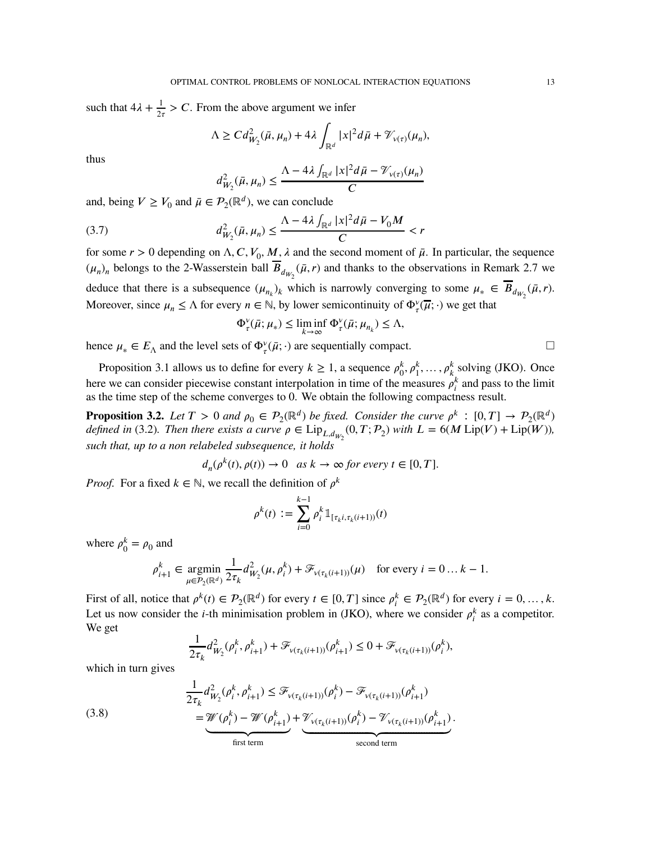such that  $4\lambda + \frac{1}{2}$  $\frac{1}{2\tau}$  > *C*. From the above argument we infer

$$
\Lambda \geq C d_{W_2}^2(\bar{\mu}, \mu_n) + 4\lambda \int_{\mathbb{R}^d} |x|^2 d\bar{\mu} + \mathcal{V}_{\nu(\tau)}(\mu_n),
$$

thus

$$
d_{W_2}^2(\bar{\mu}, \mu_n) \le \frac{\Lambda - 4\lambda \int_{\mathbb{R}^d} |x|^2 d\bar{\mu} - \mathcal{V}_{\nu(\tau)}(\mu_n)}{C}
$$

and, being  $V \geq V_0$  and  $\bar{\mu} \in \mathcal{P}_2(\mathbb{R}^d)$ , we can conclude

(3.7) 
$$
d_{W_2}^2(\bar{\mu}, \mu_n) \leq \frac{\Lambda - 4\lambda \int_{\mathbb{R}^d} |x|^2 d\bar{\mu} - V_0 M}{C} < r
$$

for some  $r > 0$  depending on  $\Lambda$ , C,  $V_0$ , M,  $\lambda$  and the second moment of  $\bar{\mu}$ . In particular, the sequence  $(\mu_n)_n$  belongs to the 2-Wasserstein ball  $B_{d_{W_2}}(\bar{\mu}, r)$  and thanks to the observations in Remark [2.7](#page-6-2) we deduce that there is a subsequence  $(\mu_{n_k})_k$  which is narrowly converging to some  $\mu_* \in B_{d_{W_2}}(\bar{\mu}, r)$ . Moreover, since  $\mu_n \leq \Lambda$  for every  $n \in \mathbb{N}$ , by lower semicontinuity of  $\Phi_\tau^v(\overline{\mu}; \cdot)$  we get that

$$
\Phi_{\tau}^{\nu}(\bar{\mu};\mu_*) \leq \liminf_{k \to \infty} \Phi_{\tau}^{\nu}(\bar{\mu};\mu_{n_k}) \leq \Lambda,
$$

hence  $\mu_* \in E_\Lambda$  and the level sets of  $\Phi_\tau^{\nu}(\bar{\mu}; \cdot)$  are sequentially compact.

Proposition [3.1](#page-10-2) allows us to define for every  $k \geq 1$ , a sequence  $\rho_0^k$  $\phi_0^k, \rho_1^k, \ldots, \rho_k^k$  solving [\(JKO\)](#page-10-0). Once here we can consider piecewise constant interpolation in time of the measures  $\rho_i^k$  and pass to the limit as the time step of the scheme converges to 0. We obtain the following compactness result.

<span id="page-12-1"></span>**Proposition 3.2.** Let  $T > 0$  and  $\rho_0 \in \mathcal{P}_2(\mathbb{R}^d)$  be fixed. Consider the curve  $\rho^k : [0, T] \to \mathcal{P}_2(\mathbb{R}^d)$ *defined in* [\(3.2\)](#page-10-3). Then there exists a curve  $\rho \in \text{Lip}_{L,d_{W_2}}(0,T; \mathcal{P}_2)$  with  $L = 6(M \text{Lip}(V) + \text{Lip}(W))$ , *such that, up to a non relabeled subsequence, it holds*

$$
d_n(\rho^k(t), \rho(t)) \to 0 \quad \text{as } k \to \infty \text{ for every } t \in [0, T].
$$

*Proof.* For a fixed  $k \in \mathbb{N}$ , we recall the definition of  $\rho^k$ 

$$
\rho^k(t) := \sum_{i=0}^{k-1} \rho_i^k \mathbb{1}_{[\tau_k i, \tau_k (i+1))}(t)
$$

where  $\rho_0^k$  $\beta_0^k = \rho_0$  and

$$
\rho_{i+1}^k \in \operatorname*{argmin}_{\mu \in \mathcal{P}_2(\mathbb{R}^d)} \frac{1}{2\tau_k} d_{W_2}^2(\mu, \rho_i^k) + \mathcal{F}_{\nu(\tau_k(i+1))}(\mu) \quad \text{for every } i = 0 \dots k - 1.
$$

First of all, notice that  $\rho^k(t) \in \mathcal{P}_2(\mathbb{R}^d)$  for every  $t \in [0, T]$  since  $\rho_i^k \in \mathcal{P}_2(\mathbb{R}^d)$  for every  $i = 0, ..., k$ . Let us now consider the *i*-th minimisation problem in [\(JKO\)](#page-10-0), where we consider  $\rho_i^k$  as a competitor. We get

<span id="page-12-0"></span>
$$
\frac{1}{2\tau_k}d_{W_2}^2(\rho_i^k,\rho_{i+1}^k)+\mathcal{F}_{v(\tau_k(i+1))}(\rho_{i+1}^k)\leq 0+\mathcal{F}_{v(\tau_k(i+1))}(\rho_i^k),
$$

which in turn gives

(3.8)  
\n
$$
\frac{1}{2\tau_k} d_{W_2}^2(\rho_i^k, \rho_{i+1}^k) \leq \mathcal{F}_{v(\tau_k(i+1))}(\rho_i^k) - \mathcal{F}_{v(\tau_k(i+1))}(\rho_{i+1}^k)
$$
\n
$$
= \underbrace{\mathcal{W}(\rho_i^k) - \mathcal{W}(\rho_{i+1}^k)}_{\text{first term}} + \underbrace{\mathcal{V}_{v(\tau_k(i+1))}(\rho_i^k) - \mathcal{V}_{v(\tau_k(i+1))}(\rho_{i+1}^k)}_{\text{second term}}.
$$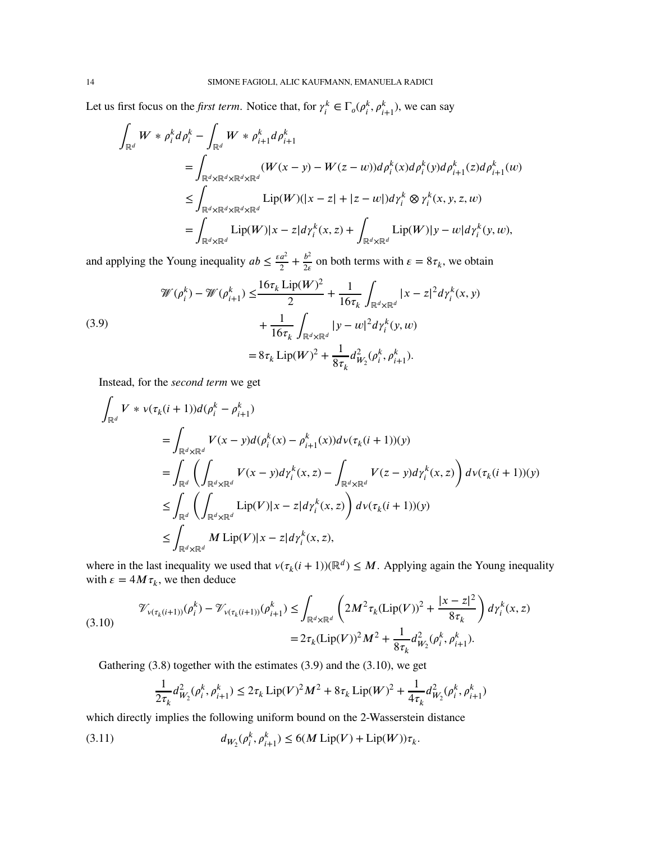Let us first focus on the *first term*. Notice that, for  $\gamma_i^k \in \Gamma_o(\rho_i^k, \rho_{i+1}^k)$ , we can say

$$
\int_{\mathbb{R}^d} W * \rho_i^k d\rho_i^k - \int_{\mathbb{R}^d} W * \rho_{i+1}^k d\rho_{i+1}^k
$$
\n
$$
= \int_{\mathbb{R}^d \times \mathbb{R}^d \times \mathbb{R}^d \times \mathbb{R}^d} (W(x - y) - W(z - w)) d\rho_i^k(x) d\rho_i^k(y) d\rho_{i+1}^k(z) d\rho_{i+1}^k(w)
$$
\n
$$
\leq \int_{\mathbb{R}^d \times \mathbb{R}^d \times \mathbb{R}^d} \text{Lip}(W)(|x - z| + |z - w|) d\gamma_i^k \otimes \gamma_i^k(x, y, z, w)
$$
\n
$$
= \int_{\mathbb{R}^d \times \mathbb{R}^d} \text{Lip}(W)|x - z| d\gamma_i^k(x, z) + \int_{\mathbb{R}^d \times \mathbb{R}^d} \text{Lip}(W)|y - w| d\gamma_i^k(y, w),
$$

and applying the Young inequality  $ab \leq \frac{\varepsilon a^2}{2}$  $rac{a^2}{2} + \frac{b^2}{2\epsilon}$  $\frac{b^2}{2\varepsilon}$  on both terms with  $\varepsilon = 8\tau_k$ , we obtain

<span id="page-13-0"></span>(3.9)  

$$
\mathcal{W}(\rho_i^k) - \mathcal{W}(\rho_{i+1}^k) \le \frac{16\tau_k \operatorname{Lip}(W)^2}{2} + \frac{1}{16\tau_k} \int_{\mathbb{R}^d \times \mathbb{R}^d} |x - z|^2 d\gamma_i^k(x, y) + \frac{1}{16\tau_k} \int_{\mathbb{R}^d \times \mathbb{R}^d} |y - w|^2 d\gamma_i^k(y, w) = 8\tau_k \operatorname{Lip}(W)^2 + \frac{1}{8\tau_k} d_{W_2}^2(\rho_i^k, \rho_{i+1}^k).
$$

Instead, for the *second term* we get

$$
\int_{\mathbb{R}^d} V * v(\tau_k(i+1))d(\rho_i^k - \rho_{i+1}^k)
$$
\n
$$
= \int_{\mathbb{R}^d \times \mathbb{R}^d} V(x - y)d(\rho_i^k(x) - \rho_{i+1}^k(x))dv(\tau_k(i+1))(y)
$$
\n
$$
= \int_{\mathbb{R}^d} \left( \int_{\mathbb{R}^d \times \mathbb{R}^d} V(x - y)d\gamma_i^k(x, z) - \int_{\mathbb{R}^d \times \mathbb{R}^d} V(z - y)d\gamma_i^k(x, z) \right) d\nu(\tau_k(i+1))(y)
$$
\n
$$
\leq \int_{\mathbb{R}^d} \left( \int_{\mathbb{R}^d \times \mathbb{R}^d} \text{Lip}(V)|x - z|d\gamma_i^k(x, z) \right) d\nu(\tau_k(i+1))(y)
$$
\n
$$
\leq \int_{\mathbb{R}^d \times \mathbb{R}^d} M \text{Lip}(V)|x - z|d\gamma_i^k(x, z),
$$

where in the last inequality we used that  $v(\tau_k(i+1))(\mathbb{R}^d) \leq M$ . Applying again the Young inequality with  $\epsilon = 4M\tau_k$ , we then deduce

<span id="page-13-1"></span>
$$
\mathcal{V}_{\nu(\tau_k(i+1))}(\rho_i^k) - \mathcal{V}_{\nu(\tau_k(i+1))}(\rho_{i+1}^k) \le \int_{\mathbb{R}^d \times \mathbb{R}^d} \left( 2M^2 \tau_k(\text{Lip}(V))^2 + \frac{|x - z|^2}{8\tau_k} \right) d\gamma_i^k(x, z)
$$
  
=  $2\tau_k(\text{Lip}(V))^2 M^2 + \frac{1}{8\tau_k} d_{W_2}^2(\rho_i^k, \rho_{i+1}^k).$ 

Gathering [\(3.8\)](#page-12-0) together with the estimates [\(3.9\)](#page-13-0) and the [\(3.10\)](#page-13-1), we get

<span id="page-13-2"></span>
$$
\frac{1}{2\tau_k}d_{W_2}^2(\rho_i^k, \rho_{i+1}^k) \le 2\tau_k \operatorname{Lip}(V)^2 M^2 + 8\tau_k \operatorname{Lip}(W)^2 + \frac{1}{4\tau_k}d_{W_2}^2(\rho_i^k, \rho_{i+1}^k)
$$

which directly implies the following uniform bound on the 2-Wasserstein distance

(3.11) 
$$
d_{W_2}(\rho_i^k, \rho_{i+1}^k) \leq 6(M \text{ Lip}(V) + \text{ Lip}(W))\tau_k.
$$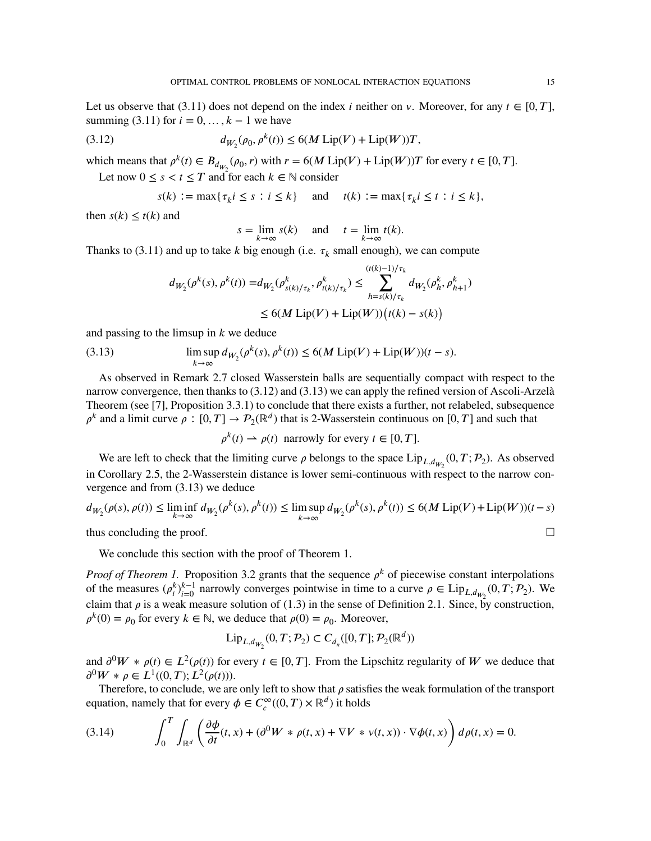Let us observe that  $(3.11)$  does not depend on the index *i* neither on *v*. Moreover, for any  $t \in [0, T]$ , summing [\(3.11\)](#page-13-2) for  $i = 0, \ldots, k-1$  we have

(3.12) 
$$
d_{W_2}(\rho_0, \rho^k(t)) \leq 6(M \operatorname{Lip}(V) + \operatorname{Lip}(W))T,
$$

which means that  $\rho^k(t) \in B_{d_{W_2}}(\rho_0, r)$  with  $r = 6(M \text{ Lip}(V) + \text{ Lip}(W))T$  for every  $t \in [0, T]$ .

Let now  $0 \le s < t \le T$  and for each  $k \in \mathbb{N}$  consider

<span id="page-14-0"></span>
$$
s(k) := \max\{\tau_k i \le s : i \le k\} \quad \text{and} \quad t(k) := \max\{\tau_k i \le t : i \le k\},
$$

then  $s(k) \leq t(k)$  and

$$
s = \lim_{k \to \infty} s(k)
$$
 and  $t = \lim_{k \to \infty} t(k)$ .

Thanks to [\(3.11\)](#page-13-2) and up to take  $k$  big enough (i.e.  $\tau_k$  small enough), we can compute

<span id="page-14-1"></span>
$$
d_{W_2}(\rho^k(s), \rho^k(t)) = d_{W_2}(\rho^k_{s(k)/\tau_k}, \rho^k_{t(k)/\tau_k}) \le \sum_{h=s(k)/\tau_k}^{(t(k)-1)/\tau_k} d_{W_2}(\rho^k_h, \rho^k_{h+1})
$$
  

$$
\le 6(M \text{ Lip}(V) + \text{ Lip}(W))\big(t(k) - s(k)\big)
$$

and passing to the limsup in *k* we deduce

(3.13) 
$$
\limsup_{k\to\infty} d_{W_2}(\rho^k(s), \rho^k(t)) \leq 6(M \operatorname{Lip}(V) + \operatorname{Lip}(W))(t-s).
$$

As observed in Remark [2.7](#page-6-2) closed Wasserstein balls are sequentially compact with respect to the narrow convergence, then thanks to [\(3.12\)](#page-14-0) and [\(3.13\)](#page-14-1) we can apply the refined version of Ascoli-Arzelà Theorem (see [\[7\]](#page-24-12), Proposition 3.3.1) to conclude that there exists a further, not relabeled, subsequence  $\rho^k$  and a limit curve  $\rho : [0, T] \to P_2(\mathbb{R}^d)$  that is 2-Wasserstein continuous on [0*, T*] and such that

$$
\rho^k(t) \rightharpoonup \rho(t) \text{ narrowly for every } t \in [0, T].
$$

We are left to check that the limiting curve  $\rho$  belongs to the space  $\text{Lip}_{L,d_{W_2}}(0,T;\mathcal{P}_2)$ . As observed in Corollary [2.5,](#page-5-1) the 2-Wasserstein distance is lower semi-continuous with respect to the narrow convergence and from [\(3.13\)](#page-14-1) we deduce

$$
d_{W_2}(\rho(s), \rho(t)) \le \liminf_{k \to \infty} d_{W_2}(\rho^k(s), \rho^k(t)) \le \limsup_{k \to \infty} d_{W_2}(\rho^k(s), \rho^k(t)) \le 6(M \operatorname{Lip}(V) + \operatorname{Lip}(W))(t - s)
$$

thus concluding the proof.  $\Box$ 

We conclude this section with the proof of Theorem [1.](#page-4-0)

*Proof of Theorem [1.](#page-4-0)* Proposition [3.2](#page-12-1) grants that the sequence  $\rho^k$  of piecewise constant interpolations of the measures  $(\rho_i^k)_{i=0}^{k-1}$  narrowly converges pointwise in time to a curve  $\rho \in \text{Lip}_{L,d_{W_2}}(0,T;\mathcal{P}_2)$ . We claim that  $\rho$  is a weak measure solution of [\(1.3\)](#page-1-1) in the sense of Definition [2.1.](#page-4-2) Since, by construction,  $\rho^k(0) = \rho_0$  for every  $k \in \mathbb{N}$ , we deduce that  $\rho(0) = \rho_0$ . Moreover,

$$
\mathrm{Lip}_{L,d_{W_2}}(0,T;\mathcal{P}_2)\subset C_{d_n}([0,T];\mathcal{P}_2(\mathbb{R}^d))
$$

and  $\partial^0 W * \rho(t) \in L^2(\rho(t))$  for every  $t \in [0, T]$ . From the Lipschitz regularity of W we deduce that  $\partial^0 W * \rho \in L^1((0,T); L^2(\rho(t))).$ 

Therefore, to conclude, we are only left to show that  $\rho$  satisfies the weak formulation of the transport equation, namely that for every  $\phi \in C_c^{\infty}((0, T) \times \mathbb{R}^d)$  it holds

<span id="page-14-2"></span>(3.14) 
$$
\int_0^T \int_{\mathbb{R}^d} \left( \frac{\partial \phi}{\partial t}(t, x) + (\partial^0 W * \rho(t, x) + \nabla V * v(t, x)) \cdot \nabla \phi(t, x) \right) d\rho(t, x) = 0.
$$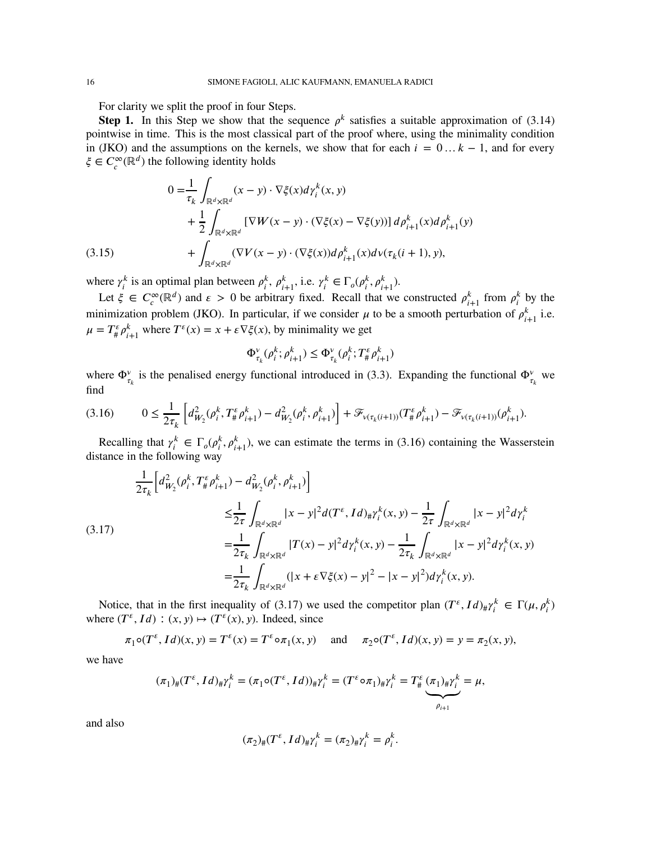For clarity we split the proof in four Steps.

**Step 1.** In this Step we show that the sequence  $\rho^k$  satisfies a suitable approximation of [\(3.14\)](#page-14-2) pointwise in time. This is the most classical part of the proof where, using the minimality condition in [\(JKO\)](#page-10-0) and the assumptions on the kernels, we show that for each  $i = 0...k - 1$ , and for every  $\xi \in C_c^{\infty}(\mathbb{R}^d)$  the following identity holds

$$
0 = \frac{1}{\tau_k} \int_{\mathbb{R}^d \times \mathbb{R}^d} (x - y) \cdot \nabla \xi(x) d\gamma_i^k(x, y)
$$
  
+ 
$$
\frac{1}{2} \int_{\mathbb{R}^d \times \mathbb{R}^d} \left[ \nabla W(x - y) \cdot (\nabla \xi(x) - \nabla \xi(y)) \right] d\rho_{i+1}^k(x) d\rho_{i+1}^k(y)
$$
  
(3.15) 
$$
+ \int_{\mathbb{R}^d \times \mathbb{R}^d} (\nabla V(x - y) \cdot (\nabla \xi(x)) d\rho_{i+1}^k(x) d\nu(\tau_k(i+1), y),
$$

<span id="page-15-2"></span>where  $\gamma_i^k$  is an optimal plan between  $\rho_i^k$ ,  $\rho_{i+1}^k$ , i.e.  $\gamma_i^k \in \Gamma_o(\rho_i^k, \rho_{i+1}^k)$ .

Let  $\xi \in C_c^{\infty}(\mathbb{R}^d)$  and  $\varepsilon > 0$  be arbitrary fixed. Recall that we constructed  $\rho_{i+1}^k$  from  $\rho_i^k$  by the minimization problem [\(JKO\)](#page-10-0). In particular, if we consider  $\mu$  to be a smooth perturbation of  $\rho_{i+1}^k$  i.e.  $\mu = T^{\varepsilon}_{\#} \rho_{i+1}^{k}$  where  $T^{\varepsilon}(x) = x + \varepsilon \nabla \xi(x)$ , by minimality we get

$$
\Phi_{\tau_k}^{\nu}(\rho_i^k; \rho_{i+1}^k) \le \Phi_{\tau_k}^{\nu}(\rho_i^k; T_{\#}^{\epsilon} \rho_{i+1}^k)
$$

where  $\Phi_{\tau_k}^{\nu}$  is the penalised energy functional introduced in [\(3.3\)](#page-10-4). Expanding the functional  $\Phi_{\tau_k}^{\nu}$  we find

<span id="page-15-0"></span>
$$
(3.16) \qquad 0 \le \frac{1}{2\tau_k} \left[ d_{W_2}^2(\rho_i^k, T_\#^{\varepsilon} \rho_{i+1}^k) - d_{W_2}^2(\rho_i^k, \rho_{i+1}^k) \right] + \mathcal{F}_{\nu(\tau_k(i+1))}(T_\#^{\varepsilon} \rho_{i+1}^k) - \mathcal{F}_{\nu(\tau_k(i+1))}(\rho_{i+1}^k).
$$

Recalling that  $\gamma_i^k \in \Gamma_o(\rho_i^k, \rho_{i+1}^k)$ , we can estimate the terms in [\(3.16\)](#page-15-0) containing the Wasserstein distance in the following way

<span id="page-15-1"></span>
$$
\frac{1}{2\tau_{k}} \left[ d_{W_{2}}^{2}(\rho_{i}^{k}, T_{\#}^{\epsilon} \rho_{i+1}^{k}) - d_{W_{2}}^{2}(\rho_{i}^{k}, \rho_{i+1}^{k}) \right]
$$
\n
$$
\leq \frac{1}{2\tau} \int_{\mathbb{R}^{d} \times \mathbb{R}^{d}} |x - y|^{2} d(T^{\epsilon}, Id)_{\#} \gamma_{i}^{k}(x, y) - \frac{1}{2\tau} \int_{\mathbb{R}^{d} \times \mathbb{R}^{d}} |x - y|^{2} d\gamma_{i}^{k}
$$
\n(3.17)\n
$$
= \frac{1}{2\tau_{k}} \int_{\mathbb{R}^{d} \times \mathbb{R}^{d}} |T(x) - y|^{2} d\gamma_{i}^{k}(x, y) - \frac{1}{2\tau_{k}} \int_{\mathbb{R}^{d} \times \mathbb{R}^{d}} |x - y|^{2} d\gamma_{i}^{k}(x, y)
$$
\n
$$
= \frac{1}{2\tau_{k}} \int_{\mathbb{R}^{d} \times \mathbb{R}^{d}} (|x + \varepsilon \nabla \xi(x) - y|^{2} - |x - y|^{2}) d\gamma_{i}^{k}(x, y).
$$

Notice, that in the first inequality of [\(3.17\)](#page-15-1) we used the competitor plan  $(T^{\epsilon}, Id)_{\#}\gamma_i^k \in \Gamma(\mu, \rho_i^k)$ where  $(T^{\epsilon}, Id) : (x, y) \mapsto (T^{\epsilon}(x), y)$ . Indeed, since

 $\pi_1 \circ (T^{\varepsilon}, Id)(x, y) = T^{\varepsilon}(x) = T^{\varepsilon} \circ \pi_1(x, y)$  and  $\pi_2 \circ (T^{\varepsilon}, Id)(x, y) = y = \pi_2(x, y),$ 

we have

$$
(\pi_1)_\#(T^\varepsilon, Id)_\# \gamma_i^k = (\pi_1 \circ (T^\varepsilon, Id))_\# \gamma_i^k = (T^\varepsilon \circ \pi_1)_\# \gamma_i^k = T^\varepsilon_\# (\pi_1)_\# \gamma_i^k = \mu,
$$

and also

$$
(\pi_2)_\#(T^\varepsilon, Id)_\# \gamma_i^k = (\pi_2)_\# \gamma_i^k = \rho_i^k.
$$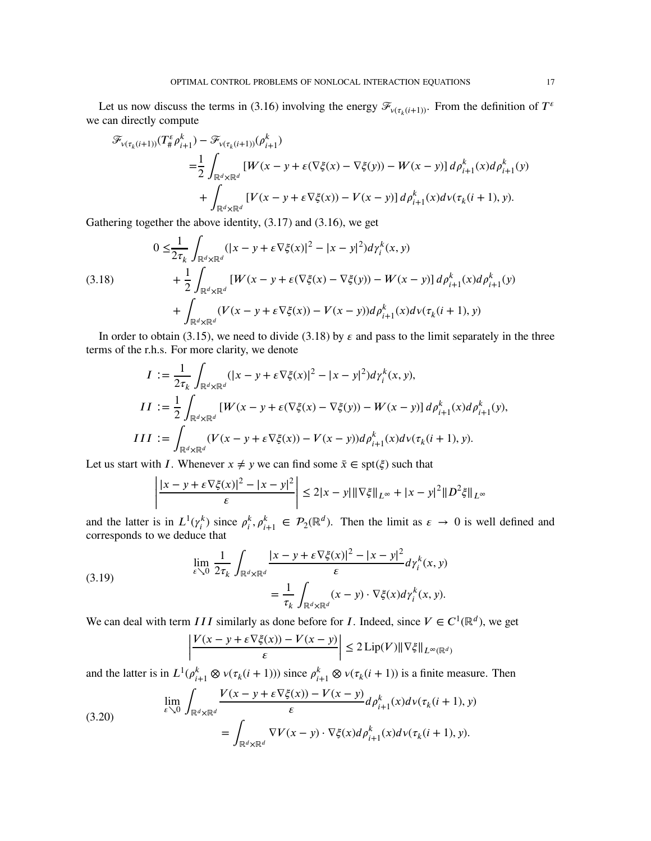Let us now discuss the terms in [\(3.16\)](#page-15-0) involving the energy  $\mathcal{F}_{v(\tau_k(i+1))}$ . From the definition of  $T^{\epsilon}$ we can directly compute

$$
\mathcal{F}_{v(\tau_k(i+1))}(T^{\varepsilon}_{\#}\rho_{i+1}^k) - \mathcal{F}_{v(\tau_k(i+1))}(\rho_{i+1}^k)
$$
\n
$$
= \frac{1}{2} \int_{\mathbb{R}^d \times \mathbb{R}^d} \left[ W(x - y + \varepsilon(\nabla \xi(x) - \nabla \xi(y)) - W(x - y) \right] d\rho_{i+1}^k(x) d\rho_{i+1}^k(y) + \int_{\mathbb{R}^d \times \mathbb{R}^d} \left[ V(x - y + \varepsilon \nabla \xi(x)) - V(x - y) \right] d\rho_{i+1}^k(x) d\nu(\tau_k(i+1), y).
$$

Gathering together the above identity, [\(3.17\)](#page-15-1) and [\(3.16\)](#page-15-0), we get

<span id="page-16-0"></span>(3.18)  
\n
$$
0 \leq \frac{1}{2\tau_k} \int_{\mathbb{R}^d \times \mathbb{R}^d} (|x - y + \varepsilon \nabla \xi(x)|^2 - |x - y|^2) d\gamma_i^k(x, y)
$$
\n
$$
+ \frac{1}{2} \int_{\mathbb{R}^d \times \mathbb{R}^d} [W(x - y + \varepsilon(\nabla \xi(x) - \nabla \xi(y)) - W(x - y)] d\rho_{i+1}^k(x) d\rho_{i+1}^k(y)
$$
\n
$$
+ \int_{\mathbb{R}^d \times \mathbb{R}^d} (V(x - y + \varepsilon \nabla \xi(x)) - V(x - y)) d\rho_{i+1}^k(x) d\nu(\tau_k(i+1), y)
$$

In order to obtain [\(3.15\)](#page-15-2), we need to divide [\(3.18\)](#page-16-0) by  $\varepsilon$  and pass to the limit separately in the three terms of the r.h.s. For more clarity, we denote

$$
I := \frac{1}{2\tau_k} \int_{\mathbb{R}^d \times \mathbb{R}^d} (|x - y + \varepsilon \nabla \xi(x)|^2 - |x - y|^2) d\gamma_i^k(x, y),
$$
  
\n
$$
II := \frac{1}{2} \int_{\mathbb{R}^d \times \mathbb{R}^d} [W(x - y + \varepsilon(\nabla \xi(x) - \nabla \xi(y)) - W(x - y)] d\rho_{i+1}^k(x) d\rho_{i+1}^k(y),
$$
  
\n
$$
III := \int_{\mathbb{R}^d \times \mathbb{R}^d} (V(x - y + \varepsilon \nabla \xi(x)) - V(x - y)) d\rho_{i+1}^k(x) d\nu(\tau_k(i+1), y).
$$

Let us start with *I*. Whenever  $x \neq y$  we can find some  $\bar{x} \in \text{spt}(\xi)$  such that

$$
\left|\frac{|x-y+\varepsilon\nabla\xi(x)|^2-|x-y|^2}{\varepsilon}\right| \le 2|x-y|\|\nabla\xi\|_{L^\infty}+|x-y|^2\|D^2\xi\|_{L^\infty}
$$

and the latter is in  $L^1(\gamma_i^k)$  since  $\rho_i^k, \rho_{i+1}^k \in \mathcal{P}_2(\mathbb{R}^d)$ . Then the limit as  $\varepsilon \to 0$  is well defined and corresponds to we deduce that

(3.19) 
$$
\lim_{\varepsilon \searrow 0} \frac{1}{2\tau_k} \int_{\mathbb{R}^d \times \mathbb{R}^d} \frac{|x - y + \varepsilon \nabla \xi(x)|^2 - |x - y|^2}{\varepsilon} d\gamma_i^k(x, y) = \frac{1}{\tau_k} \int_{\mathbb{R}^d \times \mathbb{R}^d} (x - y) \cdot \nabla \xi(x) d\gamma_i^k(x, y).
$$

We can deal with term *III* similarly as done before for *I*. Indeed, since  $V \in C^1(\mathbb{R}^d)$ , we get

<span id="page-16-2"></span><span id="page-16-1"></span>
$$
\left| \frac{V(x - y + \varepsilon \nabla \xi(x)) - V(x - y)}{\varepsilon} \right| \le 2 \operatorname{Lip}(V) \|\nabla \xi\|_{L^{\infty}(\mathbb{R}^d)}
$$

and the latter is in  $L^1(\rho_{i+1}^k \otimes \nu(\tau_k(i+1)))$  since  $\rho_{i+1}^k \otimes \nu(\tau_k(i+1))$  is a finite measure. Then

(3.20) 
$$
\lim_{\varepsilon \searrow 0} \int_{\mathbb{R}^d \times \mathbb{R}^d} \frac{V(x - y + \varepsilon \nabla \xi(x)) - V(x - y)}{\varepsilon} d\rho_{i+1}^k(x) d\nu(\tau_k(i+1), y) \n= \int_{\mathbb{R}^d \times \mathbb{R}^d} \nabla V(x - y) \cdot \nabla \xi(x) d\rho_{i+1}^k(x) d\nu(\tau_k(i+1), y).
$$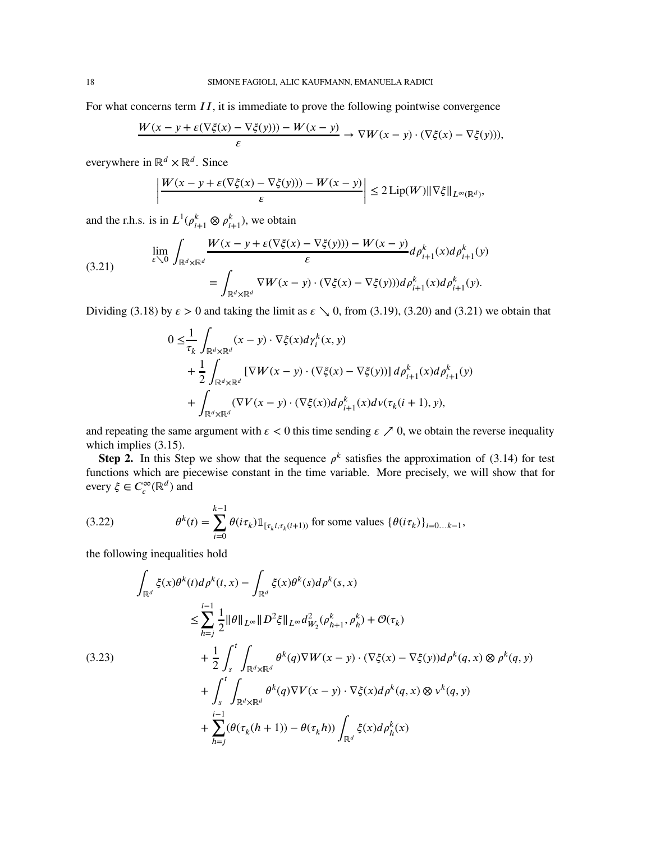For what concerns term *II*, it is immediate to prove the following pointwise convergence

$$
\frac{W(x - y + \varepsilon(\nabla\xi(x) - \nabla\xi(y))) - W(x - y)}{\varepsilon} \to \nabla W(x - y) \cdot (\nabla\xi(x) - \nabla\xi(y))),
$$

everywhere in ℝ*<sup>𝑑</sup>* × ℝ*<sup>𝑑</sup>* . Since

$$
\left|\frac{W(x-y+\varepsilon(\nabla\xi(x)-\nabla\xi(y))) - W(x-y)}{\varepsilon}\right| \le 2\,\mathrm{Lip}(W)\|\nabla\xi\|_{L^{\infty}(\mathbb{R}^d)},
$$

and the r.h.s. is in  $L^1(\rho_{i+1}^k \otimes \rho_{i+1}^k)$ , we obtain

<span id="page-17-0"></span>(3.21) 
$$
\lim_{\varepsilon \searrow 0} \int_{\mathbb{R}^d \times \mathbb{R}^d} \frac{W(x - y + \varepsilon (\nabla \xi(x) - \nabla \xi(y))) - W(x - y)}{\varepsilon} d\rho_{i+1}^k(x) d\rho_{i+1}^k(y)
$$

$$
= \int_{\mathbb{R}^d \times \mathbb{R}^d} \nabla W(x - y) \cdot (\nabla \xi(x) - \nabla \xi(y))) d\rho_{i+1}^k(x) d\rho_{i+1}^k(y).
$$

Dividing [\(3.18\)](#page-16-0) by  $\epsilon > 0$  and taking the limit as  $\epsilon \searrow 0$ , from [\(3.19\)](#page-16-1), [\(3.20\)](#page-16-2) and [\(3.21\)](#page-17-0) we obtain that

$$
0 \leq \frac{1}{\tau_k} \int_{\mathbb{R}^d \times \mathbb{R}^d} (x - y) \cdot \nabla \xi(x) d\gamma_i^k(x, y)
$$
  
+ 
$$
\frac{1}{2} \int_{\mathbb{R}^d \times \mathbb{R}^d} \left[ \nabla W(x - y) \cdot (\nabla \xi(x) - \nabla \xi(y)) \right] d\rho_{i+1}^k(x) d\rho_{i+1}^k(y)
$$
  
+ 
$$
\int_{\mathbb{R}^d \times \mathbb{R}^d} (\nabla V(x - y) \cdot (\nabla \xi(x)) d\rho_{i+1}^k(x) d\nu(\tau_k(i+1), y),
$$

and repeating the same argument with  $\epsilon$  < 0 this time sending  $\epsilon$   $\geq$  0, we obtain the reverse inequality which implies [\(3.15\)](#page-15-2).

**Step 2.** In this Step we show that the sequence  $\rho^k$  satisfies the approximation of [\(3.14\)](#page-14-2) for test functions which are piecewise constant in the time variable. More precisely, we will show that for every  $\xi \in C_c^{\infty}(\mathbb{R}^d)$  and

<span id="page-17-2"></span>(3.22) 
$$
\theta^{k}(t) = \sum_{i=0}^{k-1} \theta(i\tau_{k}) \mathbb{1}_{[\tau_{k}i,\tau_{k}(i+1))} \text{ for some values } \{\theta(i\tau_{k})\}_{i=0...k-1},
$$

the following inequalities hold

<span id="page-17-1"></span>
$$
\int_{\mathbb{R}^d} \xi(x)\theta^k(t)d\rho^k(t,x) - \int_{\mathbb{R}^d} \xi(x)\theta^k(s)d\rho^k(s,x)
$$
\n
$$
\leq \sum_{h=j}^{i-1} \frac{1}{2} ||\theta||_{L^{\infty}} ||D^2\xi||_{L^{\infty}} d_{W_2}^2(\rho_{h+1}^k, \rho_h^k) + \mathcal{O}(\tau_k)
$$
\n
$$
+ \frac{1}{2} \int_s^t \int_{\mathbb{R}^d \times \mathbb{R}^d} \theta^k(q)\nabla W(x-y) \cdot (\nabla \xi(x) - \nabla \xi(y))d\rho^k(q,x) \otimes \rho^k(q,y)
$$
\n
$$
+ \int_s^t \int_{\mathbb{R}^d \times \mathbb{R}^d} \theta^k(q)\nabla V(x-y) \cdot \nabla \xi(x)d\rho^k(q,x) \otimes v^k(q,y)
$$
\n
$$
+ \sum_{h=j}^{i-1} (\theta(\tau_k(h+1)) - \theta(\tau_k h)) \int_{\mathbb{R}^d} \xi(x)d\rho_h^k(x)
$$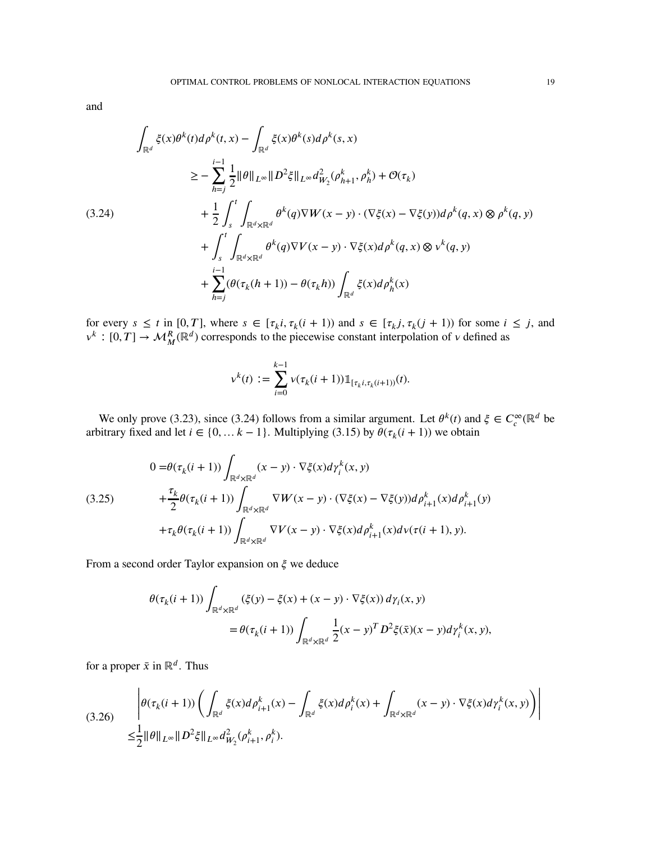and

<span id="page-18-0"></span>
$$
\int_{\mathbb{R}^d} \xi(x) \theta^k(t) d\rho^k(t, x) - \int_{\mathbb{R}^d} \xi(x) \theta^k(s) d\rho^k(s, x)
$$
\n
$$
\geq - \sum_{h=j}^{i-1} \frac{1}{2} ||\theta||_{L^{\infty}} ||D^2 \xi||_{L^{\infty}} d_{W_2}^2(\rho_{h+1}^k, \rho_h^k) + \mathcal{O}(\tau_k)
$$
\n
$$
+ \frac{1}{2} \int_s^t \int_{\mathbb{R}^d \times \mathbb{R}^d} \theta^k(q) \nabla W(x - y) \cdot (\nabla \xi(x) - \nabla \xi(y)) d\rho^k(q, x) \otimes \rho^k(q, y)
$$
\n
$$
+ \int_s^t \int_{\mathbb{R}^d \times \mathbb{R}^d} \theta^k(q) \nabla V(x - y) \cdot \nabla \xi(x) d\rho^k(q, x) \otimes \nu^k(q, y)
$$
\n
$$
+ \sum_{h=j}^{i-1} (\theta(\tau_k(h+1)) - \theta(\tau_k h)) \int_{\mathbb{R}^d} \xi(x) d\rho_h^k(x)
$$

for every  $s \leq t$  in  $[0, T]$ , where  $s \in [\tau_k i, \tau_k (i + 1))$  and  $s \in [\tau_k j, \tau_k (j + 1))$  for some  $i \leq j$ , and  $v^k : [0, T] \to \mathcal{M}_M^R(\mathbb{R}^d)$  corresponds to the piecewise constant interpolation of *v* defined as

$$
v^{k}(t) := \sum_{i=0}^{k-1} v(\tau_{k}(i+1)) \mathbb{1}_{[\tau_{k}, \tau_{k}(i+1))}(t).
$$

We only prove [\(3.23\)](#page-17-1), since [\(3.24\)](#page-18-0) follows from a similar argument. Let  $\theta^k(t)$  and  $\xi \in C_c^{\infty}(\mathbb{R}^d$  be arbitrary fixed and let *i* ∈ {0, ... *k* − 1}. Multiplying [\(3.15\)](#page-15-2) by  $\theta(\tau_k(i + 1))$  we obtain

<span id="page-18-1"></span>
$$
(3.25) \qquad \begin{aligned} 0 =& \theta(\tau_k(i+1)) \int_{\mathbb{R}^d \times \mathbb{R}^d} (x-y) \cdot \nabla \xi(x) d\gamma_i^k(x,y) \\ &+ \frac{\tau_k}{2} \theta(\tau_k(i+1)) \int_{\mathbb{R}^d \times \mathbb{R}^d} \nabla W(x-y) \cdot (\nabla \xi(x) - \nabla \xi(y)) d\rho_{i+1}^k(x) d\rho_{i+1}^k(y) \\ &+ \tau_k \theta(\tau_k(i+1)) \int_{\mathbb{R}^d \times \mathbb{R}^d} \nabla V(x-y) \cdot \nabla \xi(x) d\rho_{i+1}^k(x) d\nu(\tau(i+1), y). \end{aligned}
$$

From a second order Taylor expansion on *𝜉* we deduce

$$
\theta(\tau_k(i+1)) \int_{\mathbb{R}^d \times \mathbb{R}^d} (\xi(y) - \xi(x) + (x - y) \cdot \nabla \xi(x)) d\gamma_i(x, y)
$$
  
= 
$$
\theta(\tau_k(i+1)) \int_{\mathbb{R}^d \times \mathbb{R}^d} \frac{1}{2} (x - y)^T D^2 \xi(\bar{x}) (x - y) d\gamma_i^k(x, y),
$$

for a proper  $\bar{x}$  in ℝ<sup>*d*</sup>. Thus

<span id="page-18-2"></span>
$$
(3.26) \qquad \left| \theta(\tau_k(i+1)) \left( \int_{\mathbb{R}^d} \xi(x) d\rho_{i+1}^k(x) - \int_{\mathbb{R}^d} \xi(x) d\rho_i^k(x) + \int_{\mathbb{R}^d \times \mathbb{R}^d} (x - y) \cdot \nabla \xi(x) d\gamma_i^k(x, y) \right) \right|
$$
  

$$
\leq \frac{1}{2} ||\theta||_{L^\infty} ||D^2 \xi||_{L^\infty} d_{W_2}^2(\rho_{i+1}^k, \rho_i^k).
$$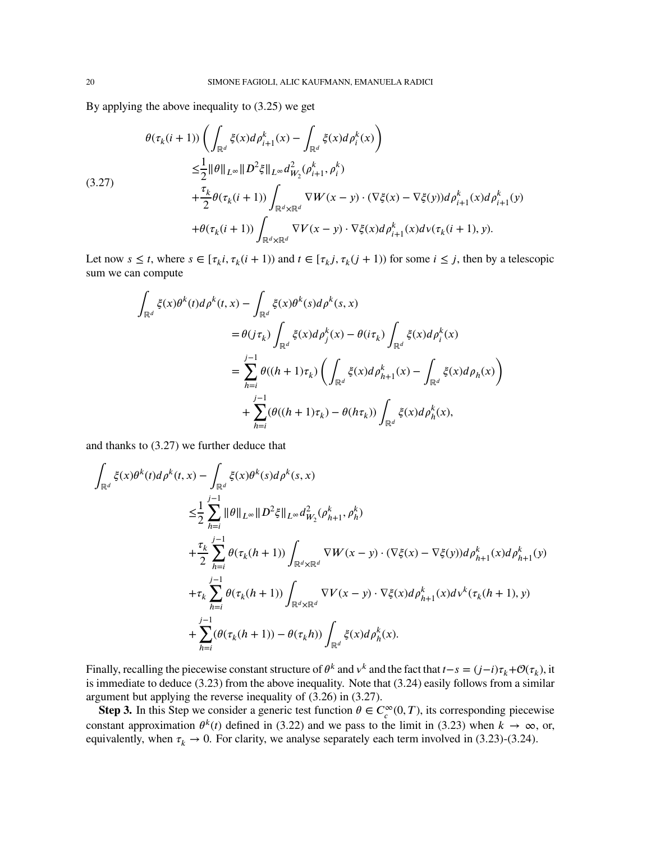By applying the above inequality to [\(3.25\)](#page-18-1) we get

<span id="page-19-0"></span>
$$
\theta(\tau_k(i+1)) \left( \int_{\mathbb{R}^d} \xi(x) d\rho_{i+1}^k(x) - \int_{\mathbb{R}^d} \xi(x) d\rho_i^k(x) \right)
$$
\n
$$
\leq \frac{1}{2} ||\theta||_{L^{\infty}} ||D^2 \xi||_{L^{\infty}} d_{W_2}^2(\rho_{i+1}^k, \rho_i^k)
$$
\n(3.27)\n
$$
+ \frac{\tau_k}{2} \theta(\tau_k(i+1)) \int_{\mathbb{R}^d \times \mathbb{R}^d} \nabla W(x-y) \cdot (\nabla \xi(x) - \nabla \xi(y)) d\rho_{i+1}^k(x) d\rho_{i+1}^k(y)
$$
\n
$$
+ \theta(\tau_k(i+1)) \int_{\mathbb{R}^d \times \mathbb{R}^d} \nabla V(x-y) \cdot \nabla \xi(x) d\rho_{i+1}^k(x) d\nu(\tau_k(i+1), y).
$$

Let now  $s \leq t$ , where  $s \in [\tau_k i, \tau_k (i+1))$  and  $t \in [\tau_k j, \tau_k (j+1))$  for some  $i \leq j$ , then by a telescopic sum we can compute

$$
\int_{\mathbb{R}^d} \xi(x) \theta^k(t) d\rho^k(t, x) - \int_{\mathbb{R}^d} \xi(x) \theta^k(s) d\rho^k(s, x)
$$
\n
$$
= \theta(j\tau_k) \int_{\mathbb{R}^d} \xi(x) d\rho_j^k(x) - \theta(i\tau_k) \int_{\mathbb{R}^d} \xi(x) d\rho_i^k(x)
$$
\n
$$
= \sum_{h=i}^{j-1} \theta((h+1)\tau_k) \left( \int_{\mathbb{R}^d} \xi(x) d\rho_{h+1}^k(x) - \int_{\mathbb{R}^d} \xi(x) d\rho_h(x) \right)
$$
\n
$$
+ \sum_{h=i}^{j-1} (\theta((h+1)\tau_k) - \theta(h\tau_k)) \int_{\mathbb{R}^d} \xi(x) d\rho_h^k(x),
$$

and thanks to [\(3.27\)](#page-19-0) we further deduce that

$$
\begin{split} \int_{\mathbb{R}^d} \xi(x) \theta^k(t) d\rho^k(t,x) & - \int_{\mathbb{R}^d} \xi(x) \theta^k(s) d\rho^k(s,x) \\ \leq & \frac{1}{2} \sum_{h=i}^{j-1} \|\theta\|_{L^\infty} \|D^2 \xi\|_{L^\infty} d_{W_2}^2(\rho_{h+1}^k, \rho_h^k) \\ & + \frac{\tau_k}{2} \sum_{h=i}^{j-1} \theta(\tau_k(h+1)) \int_{\mathbb{R}^d \times \mathbb{R}^d} \nabla W(x-y) \cdot (\nabla \xi(x) - \nabla \xi(y)) d\rho_{h+1}^k(x) d\rho_{h+1}^k(y) \\ & + \tau_k \sum_{h=i}^{j-1} \theta(\tau_k(h+1)) \int_{\mathbb{R}^d \times \mathbb{R}^d} \nabla V(x-y) \cdot \nabla \xi(x) d\rho_{h+1}^k(x) d\nu^k(\tau_k(h+1), y) \\ & + \sum_{h=i}^{j-1} (\theta(\tau_k(h+1)) - \theta(\tau_k h)) \int_{\mathbb{R}^d} \xi(x) d\rho_h^k(x). \end{split}
$$

Finally, recalling the piecewise constant structure of  $\theta^k$  and  $v^k$  and the fact that  $t-s = (j-i)\tau_k + \mathcal{O}(\tau_k)$ , it is immediate to deduce [\(3.23\)](#page-17-1) from the above inequality. Note that [\(3.24\)](#page-18-0) easily follows from a similar argument but applying the reverse inequality of [\(3.26\)](#page-18-2) in [\(3.27\)](#page-19-0).

**Step 3.** In this Step we consider a generic test function  $\theta \in C_c^{\infty}(0,T)$ , its corresponding piecewise constant approximation  $\theta^k(t)$  defined in [\(3.22\)](#page-17-2) and we pass to the limit in [\(3.23\)](#page-17-1) when  $k \to \infty$ , or, equivalently, when  $\tau_k \to 0$ . For clarity, we analyse separately each term involved in [\(3.23\)](#page-17-1)-[\(3.24\)](#page-18-0).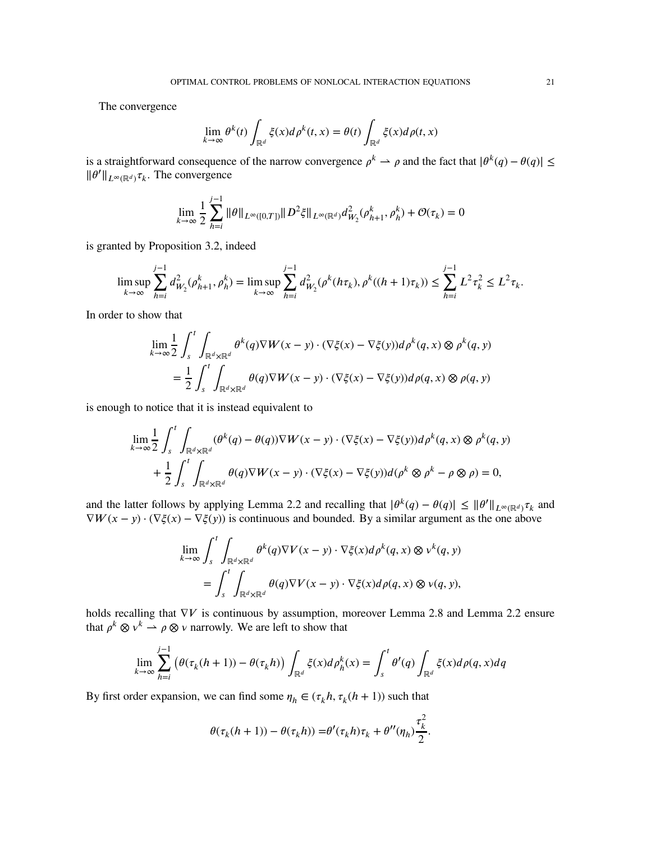The convergence

$$
\lim_{k \to \infty} \theta^k(t) \int_{\mathbb{R}^d} \xi(x) d\rho^k(t, x) = \theta(t) \int_{\mathbb{R}^d} \xi(x) d\rho(t, x)
$$

is a straightforward consequence of the narrow convergence  $\rho^k \to \rho$  and the fact that  $|\theta^k(q) - \theta(q)| \le$  $\|\theta'\|_{L^{\infty}(\mathbb{R}^d)}\tau_k$ . The convergence

$$
\lim_{k \to \infty} \frac{1}{2} \sum_{h=i}^{j-1} \|\theta\|_{L^{\infty}([0,T])} \|D^2 \xi\|_{L^{\infty}(\mathbb{R}^d)} d_{W_2}^2(\rho_{h+1}^k, \rho_h^k) + \mathcal{O}(\tau_k) = 0
$$

is granted by Proposition [3.2,](#page-12-1) indeed

$$
\limsup_{k \to \infty} \sum_{h=i}^{j-1} d_{W_2}^2(\rho^k_{h+1}, \rho^k_h) = \limsup_{k \to \infty} \sum_{h=i}^{j-1} d_{W_2}^2(\rho^k(h\tau_k), \rho^k((h+1)\tau_k)) \le \sum_{h=i}^{j-1} L^2 \tau_k^2 \le L^2 \tau_k.
$$

In order to show that

$$
\lim_{k \to \infty} \frac{1}{2} \int_{s}^{t} \int_{\mathbb{R}^{d} \times \mathbb{R}^{d}} \theta^{k}(q) \nabla W(x - y) \cdot (\nabla \xi(x) - \nabla \xi(y)) d\rho^{k}(q, x) \otimes \rho^{k}(q, y)
$$

$$
= \frac{1}{2} \int_{s}^{t} \int_{\mathbb{R}^{d} \times \mathbb{R}^{d}} \theta(q) \nabla W(x - y) \cdot (\nabla \xi(x) - \nabla \xi(y)) d\rho(q, x) \otimes \rho(q, y)
$$

is enough to notice that it is instead equivalent to

$$
\lim_{k \to \infty} \frac{1}{2} \int_{s}^{t} \int_{\mathbb{R}^{d} \times \mathbb{R}^{d}} (\theta^{k}(q) - \theta(q)) \nabla W(x - y) \cdot (\nabla \xi(x) - \nabla \xi(y)) d\rho^{k}(q, x) \otimes \rho^{k}(q, y) + \frac{1}{2} \int_{s}^{t} \int_{\mathbb{R}^{d} \times \mathbb{R}^{d}} \theta(q) \nabla W(x - y) \cdot (\nabla \xi(x) - \nabla \xi(y)) d(\rho^{k} \otimes \rho^{k} - \rho \otimes \rho) = 0,
$$

and the latter follows by applying Lemma [2.2](#page-5-3) and recalling that  $|\theta^k(q) - \theta(q)| \le ||\theta^r||_{L^\infty(\mathbb{R}^d)} \tau_k$  and  $\nabla W(x - y) \cdot (\nabla \xi(x) - \nabla \xi(y))$  is continuous and bounded. By a similar argument as the one above

$$
\lim_{k \to \infty} \int_{s}^{t} \int_{\mathbb{R}^{d} \times \mathbb{R}^{d}} \theta^{k}(q) \nabla V(x - y) \cdot \nabla \xi(x) d\rho^{k}(q, x) \otimes v^{k}(q, y) \n= \int_{s}^{t} \int_{\mathbb{R}^{d} \times \mathbb{R}^{d}} \theta(q) \nabla V(x - y) \cdot \nabla \xi(x) d\rho(q, x) \otimes v(q, y),
$$

holds recalling that  $\nabla V$  is continuous by assumption, moreover Lemma [2.8](#page-7-1) and Lemma [2.2](#page-5-3) ensure that  $\rho^k \otimes v^k \to \rho \otimes v$  narrowly. We are left to show that

$$
\lim_{k \to \infty} \sum_{h=i}^{j-1} \left( \theta(\tau_k(h+1)) - \theta(\tau_k h) \right) \int_{\mathbb{R}^d} \xi(x) d\rho_h^k(x) = \int_s^t \theta'(q) \int_{\mathbb{R}^d} \xi(x) d\rho(q, x) dq
$$

By first order expansion, we can find some  $\eta_h \in (\tau_k h, \tau_k(h+1))$  such that

$$
\theta(\tau_k(h+1)) - \theta(\tau_k h)) = \theta'(\tau_k h)\tau_k + \theta''(\eta_h)\frac{\tau_k^2}{2}.
$$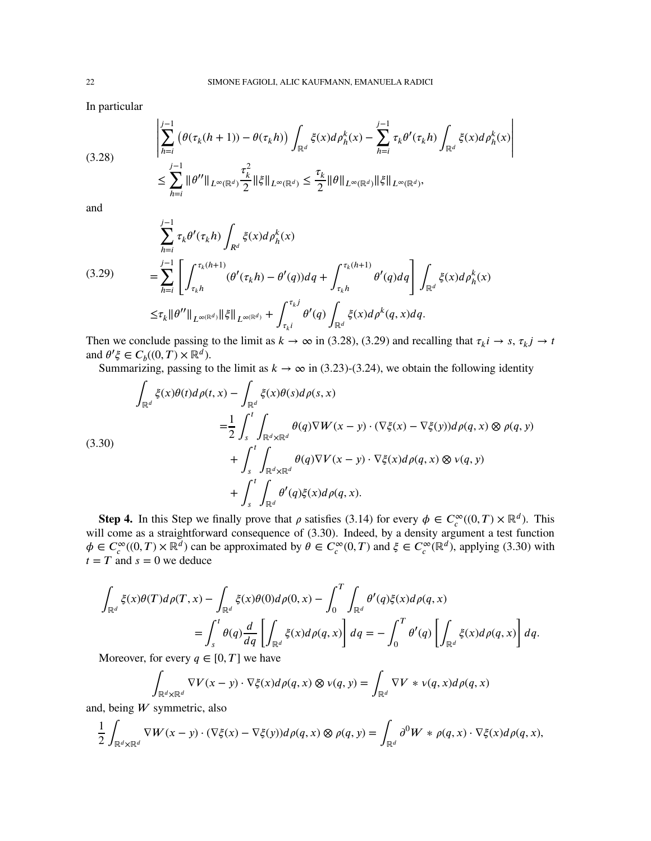In particular

<span id="page-21-0"></span>
$$
(3.28) \qquad \left| \sum_{h=i}^{j-1} \left( \theta(\tau_k(h+1)) - \theta(\tau_k h) \right) \int_{\mathbb{R}^d} \xi(x) d\rho_h^k(x) - \sum_{h=i}^{j-1} \tau_k \theta'(\tau_k h) \int_{\mathbb{R}^d} \xi(x) d\rho_h^k(x) \right|
$$
\n
$$
\leq \sum_{h=i}^{j-1} \|\theta''\|_{L^\infty(\mathbb{R}^d)} \frac{\tau_k^2}{2} \|\xi\|_{L^\infty(\mathbb{R}^d)} \leq \frac{\tau_k}{2} \|\theta\|_{L^\infty(\mathbb{R}^d)} \|\xi\|_{L^\infty(\mathbb{R}^d)},
$$

and

<span id="page-21-1"></span>
$$
(3.29) \qquad \sum_{h=i}^{j-1} \tau_k \theta'(\tau_k h) \int_{R^d} \xi(x) d\rho_h^k(x)
$$
\n
$$
= \sum_{h=i}^{j-1} \left[ \int_{\tau_k h}^{\tau_k(h+1)} (\theta'(\tau_k h) - \theta'(q)) dq + \int_{\tau_k h}^{\tau_k(h+1)} \theta'(q) dq \right] \int_{\mathbb{R}^d} \xi(x) d\rho_h^k(x)
$$
\n
$$
\leq \tau_k ||\theta''||_{L^{\infty}(\mathbb{R}^d)} ||\xi||_{L^{\infty}(\mathbb{R}^d)} + \int_{\tau_k i}^{\tau_k j} \theta'(q) \int_{\mathbb{R}^d} \xi(x) d\rho^k(q, x) dq.
$$

Then we conclude passing to the limit as  $k \to \infty$  in [\(3.28\)](#page-21-0), [\(3.29\)](#page-21-1) and recalling that  $\tau_k i \to s$ ,  $\tau_k j \to t$ and  $\theta' \xi \in C_b((0, T) \times \mathbb{R}^d)$ .

Summarizing, passing to the limit as  $k \to \infty$  in [\(3.23\)](#page-17-1)-[\(3.24\)](#page-18-0), we obtain the following identity

<span id="page-21-2"></span>
$$
\int_{\mathbb{R}^d} \xi(x)\theta(t)d\rho(t,x) - \int_{\mathbb{R}^d} \xi(x)\theta(s)d\rho(s,x)
$$
\n
$$
= \frac{1}{2} \int_s^t \int_{\mathbb{R}^d \times \mathbb{R}^d} \theta(q)\nabla W(x-y) \cdot (\nabla \xi(x) - \nabla \xi(y))d\rho(q,x) \otimes \rho(q,y)
$$
\n
$$
+ \int_s^t \int_{\mathbb{R}^d \times \mathbb{R}^d} \theta(q)\nabla V(x-y) \cdot \nabla \xi(x)d\rho(q,x) \otimes \nu(q,y)
$$
\n
$$
+ \int_s^t \int_{\mathbb{R}^d} \theta'(q)\xi(x)d\rho(q,x).
$$

**Step 4.** In this Step we finally prove that  $\rho$  satisfies [\(3.14\)](#page-14-2) for every  $\phi \in C_c^{\infty}((0,T) \times \mathbb{R}^d)$ . This will come as a straightforward consequence of [\(3.30\)](#page-21-2). Indeed, by a density argument a test function  $\phi \in C_c^{\infty}((0, T) \times \mathbb{R}^d)$  can be approximated by  $\theta \in C_c^{\infty}(0, T)$  and  $\xi \in C_c^{\infty}(\mathbb{R}^d)$ , applying [\(3.30\)](#page-21-2) with  $t = T$  and  $s = 0$  we deduce

$$
\int_{\mathbb{R}^d} \xi(x)\theta(T)d\rho(T,x) - \int_{\mathbb{R}^d} \xi(x)\theta(0)d\rho(0,x) - \int_0^T \int_{\mathbb{R}^d} \theta'(q)\xi(x)d\rho(q,x) \n= \int_s^t \theta(q)\frac{d}{dq} \left[ \int_{\mathbb{R}^d} \xi(x)d\rho(q,x) \right] dq = -\int_0^T \theta'(q) \left[ \int_{\mathbb{R}^d} \xi(x)d\rho(q,x) \right] dq.
$$

Moreover, for every  $q \in [0, T]$  we have

$$
\int_{\mathbb{R}^d \times \mathbb{R}^d} \nabla V(x - y) \cdot \nabla \xi(x) d\rho(q, x) \otimes v(q, y) = \int_{\mathbb{R}^d} \nabla V \ast v(q, x) d\rho(q, x)
$$

and, being *W* symmetric, also

$$
\frac{1}{2} \int_{\mathbb{R}^d \times \mathbb{R}^d} \nabla W(x - y) \cdot (\nabla \xi(x) - \nabla \xi(y)) d\rho(q, x) \otimes \rho(q, y) = \int_{\mathbb{R}^d} \partial^0 W \ast \rho(q, x) \cdot \nabla \xi(x) d\rho(q, x),
$$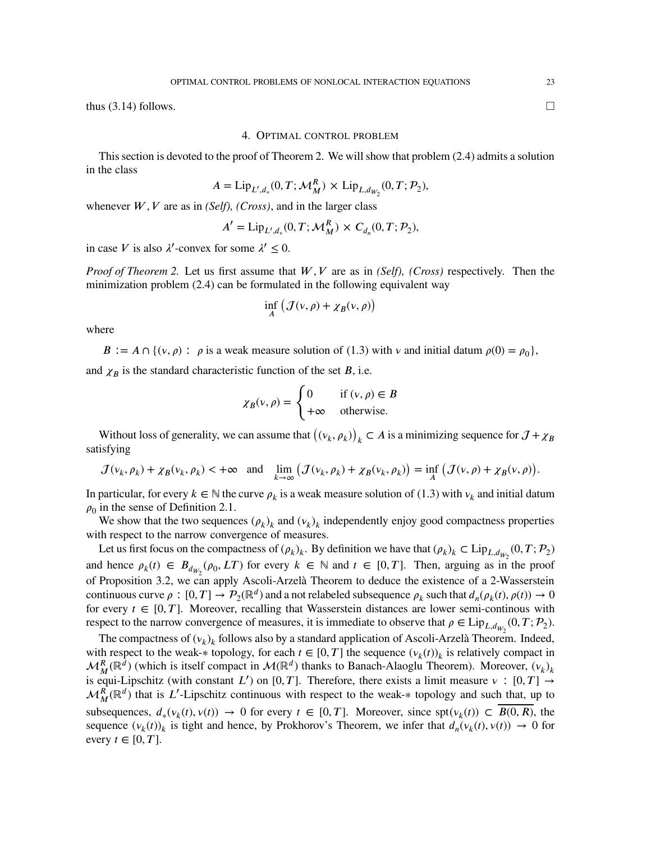<span id="page-22-0"></span>thus  $(3.14)$  follows.

## 4. OPTIMAL CONTROL PROBLEM

This section is devoted to the proof of Theorem [2.](#page-4-1) We will show that problem [\(2.4\)](#page-4-3) admits a solution in the class

$$
A = \text{Lip}_{L',d_*}(0,T; \mathcal{M}_M^R) \times \text{Lip}_{L,d_{W_2}}(0,T; \mathcal{P}_2),
$$

whenever  $W, V$  are as in *(Self), (Cross)*, and in the larger class

$$
A' = \text{Lip}_{L',d_*}(0,T; \mathcal{M}_M^R) \times C_{d_n}(0,T; \mathcal{P}_2),
$$

in case *V* is also  $\lambda'$ -convex for some  $\lambda' \leq 0$ .

*Proof of Theorem* [2.](#page-4-1) Let us first assume that *W*, *V* are as in *(Self), (Cross)* respectively. Then the minimization problem [\(2.4\)](#page-4-3) can be formulated in the following equivalent way

$$
\inf_{A} \left( \mathcal{J}(\nu,\rho) + \chi_B(\nu,\rho) \right)
$$

where

 $B := A \cap \{ (v, \rho) : \rho \text{ is a weak measure solution of } (1.3) \text{ with } v \text{ and initial datum } \rho(0) = \rho_0 \},$  $B := A \cap \{ (v, \rho) : \rho \text{ is a weak measure solution of } (1.3) \text{ with } v \text{ and initial datum } \rho(0) = \rho_0 \},$  $B := A \cap \{ (v, \rho) : \rho \text{ is a weak measure solution of } (1.3) \text{ with } v \text{ and initial datum } \rho(0) = \rho_0 \},$ 

and  $\chi_B$  is the standard characteristic function of the set *B*, i.e.

$$
\chi_B(\nu,\rho) = \begin{cases} 0 & \text{if } (\nu,\rho) \in B \\ +\infty & \text{otherwise.} \end{cases}
$$

Without loss of generality, we can assume that  $((v_k, \rho_k))_k \subset A$  is a minimizing sequence for  $\mathcal{J} + \chi_B$ satisfying

$$
\mathcal{J}(\nu_k, \rho_k) + \chi_B(\nu_k, \rho_k) < +\infty \quad \text{and} \quad \lim_{k \to \infty} \left( \mathcal{J}(\nu_k, \rho_k) + \chi_B(\nu_k, \rho_k) \right) = \inf_A \left( \mathcal{J}(\nu, \rho) + \chi_B(\nu, \rho) \right).
$$

In particular, for every  $k \in \mathbb{N}$  the curve  $\rho_k$  is a weak measure solution of [\(1.3\)](#page-1-1) with  $v_k$  and initial datum  $\rho_0$  in the sense of Definition [2.1.](#page-4-2)

We show that the two sequences  $(\rho_k)_k$  and  $(\nu_k)_k$  independently enjoy good compactness properties with respect to the narrow convergence of measures.

Let us first focus on the compactness of  $(\rho_k)_k$ . By definition we have that  $(\rho_k)_k \subset \text{Lip}_{L,d_{W_2}}(0,T;\mathcal{P}_2)$ and hence  $\rho_k(t) \in B_{d_{W_2}}(\rho_0, LT)$  for every  $k \in \mathbb{N}$  and  $t \in [0, T]$ . Then, arguing as in the proof of Proposition [3.2,](#page-12-1) we can apply Ascoli-Arzelà Theorem to deduce the existence of a 2-Wasserstein continuous curve  $\rho : [0, T] \to P_2(\mathbb{R}^d)$  and a not relabeled subsequence  $\rho_k$  such that  $d_n(\rho_k(t), \rho(t)) \to 0$ for every  $t \in [0, T]$ . Moreover, recalling that Wasserstein distances are lower semi-continous with respect to the narrow convergence of measures, it is immediate to observe that  $\rho \in \text{Lip}_{L,d_{W_2}}(0,T; \mathcal{P}_2)$ .

The compactness of  $(v_k)_k$  follows also by a standard application of Ascoli-Arzelà Theorem. Indeed, with respect to the weak-\* topology, for each  $t \in [0, T]$  the sequence  $(v_k(t))_k$  is relatively compact in  $\mathcal{M}_{M}^{R}(\mathbb{R}^{d})$  (which is itself compact in  $\mathcal{M}(\mathbb{R}^{d})$  thanks to Banach-Alaoglu Theorem). Moreover,  $(v_{k})_{k}$ is equi-Lipschitz (with constant *L'*) on [0, *T*]. Therefore, there exists a limit measure  $v : [0, T] \rightarrow$  $\mathcal{M}_{M}^{R}(\mathbb{R}^{d})$  that is *L'*-Lipschitz continuous with respect to the weak-\* topology and such that, up to subsequences,  $d_*(v_k(t), v(t)) \to 0$  for every  $t \in [0, T]$ . Moreover, since spt $(v_k(t)) \subset B(0, R)$ , the sequence  $(v_k(t))_k$  is tight and hence, by Prokhorov's Theorem, we infer that  $d_n(v_k(t), v(t)) \to 0$  for every  $t \in [0, T]$ .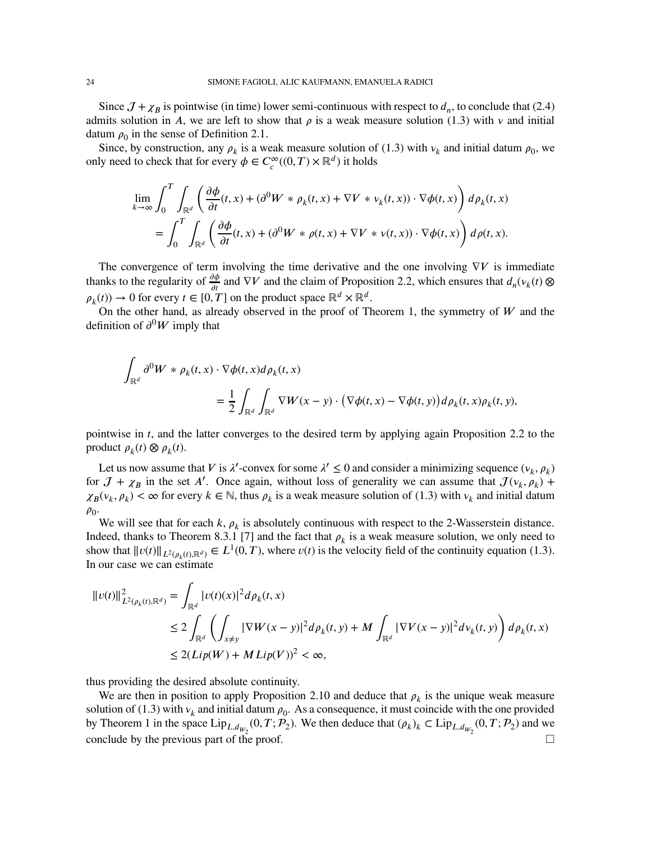Since  $J + \chi_B$  is pointwise (in time) lower semi-continuous with respect to  $d_n$ , to conclude that [\(2.4\)](#page-4-3) admits solution in *A*, we are left to show that  $\rho$  is a weak measure solution [\(1.3\)](#page-1-1) with  $\nu$  and initial datum  $\rho_0$  in the sense of Definition [2.1.](#page-4-2)

Since, by construction, any  $\rho_k$  is a weak measure solution of [\(1.3\)](#page-1-1) with  $v_k$  and initial datum  $\rho_0$ , we only need to check that for every  $\phi \in C_c^{\infty}((0, T) \times \mathbb{R}^d)$  it holds

$$
\lim_{k \to \infty} \int_0^T \int_{\mathbb{R}^d} \left( \frac{\partial \phi}{\partial t}(t, x) + (\partial^0 W * \rho_k(t, x) + \nabla V * v_k(t, x)) \cdot \nabla \phi(t, x) \right) d\rho_k(t, x)
$$
  
= 
$$
\int_0^T \int_{\mathbb{R}^d} \left( \frac{\partial \phi}{\partial t}(t, x) + (\partial^0 W * \rho(t, x) + \nabla V * v(t, x)) \cdot \nabla \phi(t, x) \right) d\rho(t, x).
$$

The convergence of term involving the time derivative and the one involving  $\nabla V$  is immediate thanks to the regularity of  $\frac{\partial \phi}{\partial t}$  and  $\nabla V$  and the claim of Proposition [2.2,](#page-5-3) which ensures that  $d_n(v_k(t) \otimes$  $\rho_k(t) \to 0$  for every  $t \in [0, T]$  on the product space  $\mathbb{R}^d \times \mathbb{R}^d$ .

On the other hand, as already observed in the proof of Theorem [1,](#page-4-0) the symmetry of  $W$  and the definition of  $\partial^0 W$  imply that

$$
\int_{\mathbb{R}^d} \partial^0 W * \rho_k(t, x) \cdot \nabla \phi(t, x) d\rho_k(t, x)
$$
\n
$$
= \frac{1}{2} \int_{\mathbb{R}^d} \int_{\mathbb{R}^d} \nabla W(x - y) \cdot (\nabla \phi(t, x) - \nabla \phi(t, y)) d\rho_k(t, x) \rho_k(t, y),
$$

pointwise in *t*, and the latter converges to the desired term by applying again Proposition [2.2](#page-5-3) to the product  $\rho_k(t) \otimes \rho_k(t)$ .

Let us now assume that *V* is  $\lambda'$ -convex for some  $\lambda' \leq 0$  and consider a minimizing sequence  $(v_k, \rho_k)$ for  $J + \chi_B$  in the set *A'*. Once again, without loss of generality we can assume that  $J(\nu_k, \rho_k)$  +  $\chi_B(\nu_k, \rho_k) < \infty$  for every  $k \in \mathbb{N}$ , thus  $\rho_k$  is a weak measure solution of [\(1.3\)](#page-1-1) with  $\nu_k$  and initial datum  $\rho_{0}$ .

We will see that for each  $k$ ,  $\rho_k$  is absolutely continuous with respect to the 2-Wasserstein distance. Indeed, thanks to Theorem 8.3.1 [\[7\]](#page-24-12) and the fact that  $\rho_k$  is a weak measure solution, we only need to show that  $||v(t)||_{L^2(\rho_k(t), \mathbb{R}^d)} \in L^1(0, T)$ , where  $v(t)$  is the velocity field of the continuity equation [\(1.3\)](#page-1-1). In our case we can estimate

$$
\|v(t)\|_{L^{2}(\rho_{k}(t),\mathbb{R}^{d})}^{2} = \int_{\mathbb{R}^{d}} |v(t)(x)|^{2} d\rho_{k}(t,x)
$$
  
\n
$$
\leq 2 \int_{\mathbb{R}^{d}} \left( \int_{x \neq y} |\nabla W(x - y)|^{2} d\rho_{k}(t,y) + M \int_{\mathbb{R}^{d}} |\nabla V(x - y)|^{2} d\nu_{k}(t,y) \right) d\rho_{k}(t,x)
$$
  
\n
$$
\leq 2(Lip(W) + MLip(V))^{2} < \infty,
$$

thus providing the desired absolute continuity.

We are then in position to apply Proposition [2.10](#page-8-2) and deduce that  $\rho_k$  is the unique weak measure solution of [\(1.3\)](#page-1-1) with  $v_k$  and initial datum  $\rho_0$ . As a consequence, it must coincide with the one provided by Theorem [1](#page-4-0) in the space  $\text{Lip}_{L,d_{W_2}}(0,T; \mathcal{P}_2)$ . We then deduce that  $(\rho_k)_k \subset \text{Lip}_{L,d_{W_2}}(0,T; \mathcal{P}_2)$  and we conclude by the previous part of the proof.  $\Box$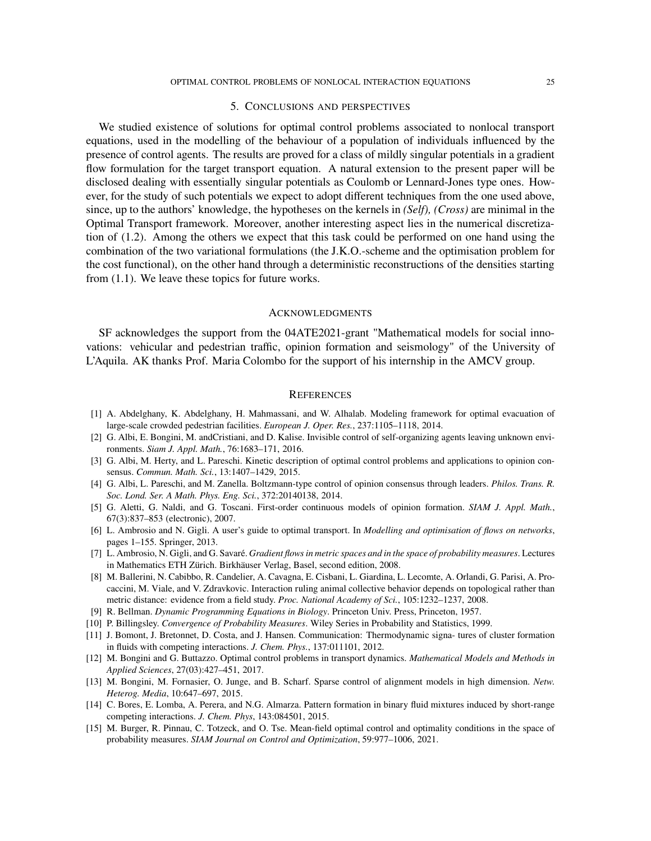# 5. CONCLUSIONS AND PERSPECTIVES

We studied existence of solutions for optimal control problems associated to nonlocal transport equations, used in the modelling of the behaviour of a population of individuals influenced by the presence of control agents. The results are proved for a class of mildly singular potentials in a gradient flow formulation for the target transport equation. A natural extension to the present paper will be disclosed dealing with essentially singular potentials as Coulomb or Lennard-Jones type ones. However, for the study of such potentials we expect to adopt different techniques from the one used above, since, up to the authors' knowledge, the hypotheses on the kernels in *(Self), (Cross)* are minimal in the Optimal Transport framework. Moreover, another interesting aspect lies in the numerical discretization of [\(1.2\)](#page-1-0). Among the others we expect that this task could be performed on one hand using the combination of the two variational formulations (the J.K.O.-scheme and the optimisation problem for the cost functional), on the other hand through a deterministic reconstructions of the densities starting from [\(1.1\)](#page-0-0). We leave these topics for future works.

## **ACKNOWLEDGMENTS**

SF acknowledges the support from the 04ATE2021-grant "Mathematical models for social innovations: vehicular and pedestrian traffic, opinion formation and seismology" of the University of L'Aquila. AK thanks Prof. Maria Colombo for the support of his internship in the AMCV group.

#### **REFERENCES**

- <span id="page-24-3"></span>[1] A. Abdelghany, K. Abdelghany, H. Mahmassani, and W. Alhalab. Modeling framework for optimal evacuation of large-scale crowded pedestrian facilities. *European J. Oper. Res.*, 237:1105–1118, 2014.
- <span id="page-24-4"></span>[2] G. Albi, E. Bongini, M. andCristiani, and D. Kalise. Invisible control of self-organizing agents leaving unknown environments. *Siam J. Appl. Math.*, 76:1683–171, 2016.
- <span id="page-24-5"></span>[3] G. Albi, M. Herty, and L. Pareschi. Kinetic description of optimal control problems and applications to opinion consensus. *Commun. Math. Sci.*, 13:1407–1429, 2015.
- <span id="page-24-6"></span>[4] G. Albi, L. Pareschi, and M. Zanella. Boltzmann-type control of opinion consensus through leaders. *Philos. Trans. R. Soc. Lond. Ser. A Math. Phys. Eng. Sci.*, 372:20140138, 2014.
- <span id="page-24-2"></span>[5] G. Aletti, G. Naldi, and G. Toscani. First-order continuous models of opinion formation. *SIAM J. Appl. Math.*, 67(3):837–853 (electronic), 2007.
- <span id="page-24-14"></span>[6] L. Ambrosio and N. Gigli. A user's guide to optimal transport. In *Modelling and optimisation of flows on networks*, pages 1–155. Springer, 2013.
- <span id="page-24-12"></span>[7] L. Ambrosio, N. Gigli, and G. Savaré. *Gradient flows in metric spaces and in the space of probability measures*. Lectures in Mathematics ETH Zürich. Birkhäuser Verlag, Basel, second edition, 2008.
- <span id="page-24-1"></span>[8] M. Ballerini, N. Cabibbo, R. Candelier, A. Cavagna, E. Cisbani, L. Giardina, L. Lecomte, A. Orlandi, G. Parisi, A. Procaccini, M. Viale, and V. Zdravkovic. Interaction ruling animal collective behavior depends on topological rather than metric distance: evidence from a field study. *Proc. National Academy of Sci.*, 105:1232–1237, 2008.
- <span id="page-24-13"></span><span id="page-24-8"></span>[9] R. Bellman. *Dynamic Programming Equations in Biology*. Princeton Univ. Press, Princeton, 1957.
- <span id="page-24-10"></span>[10] P. Billingsley. *Convergence of Probability Measures*. Wiley Series in Probability and Statistics, 1999.
- [11] J. Bomont, J. Bretonnet, D. Costa, and J. Hansen. Communication: Thermodynamic signa- tures of cluster formation in fluids with competing interactions. *J. Chem. Phys.*, 137:011101, 2012.
- <span id="page-24-0"></span>[12] M. Bongini and G. Buttazzo. Optimal control problems in transport dynamics. *Mathematical Models and Methods in Applied Sciences*, 27(03):427–451, 2017.
- <span id="page-24-7"></span>[13] M. Bongini, M. Fornasier, O. Junge, and B. Scharf. Sparse control of alignment models in high dimension. *Netw. Heterog. Media*, 10:647–697, 2015.
- <span id="page-24-11"></span>[14] C. Bores, E. Lomba, A. Perera, and N.G. Almarza. Pattern formation in binary fluid mixtures induced by short-range competing interactions. *J. Chem. Phys*, 143:084501, 2015.
- <span id="page-24-9"></span>[15] M. Burger, R. Pinnau, C. Totzeck, and O. Tse. Mean-field optimal control and optimality conditions in the space of probability measures. *SIAM Journal on Control and Optimization*, 59:977–1006, 2021.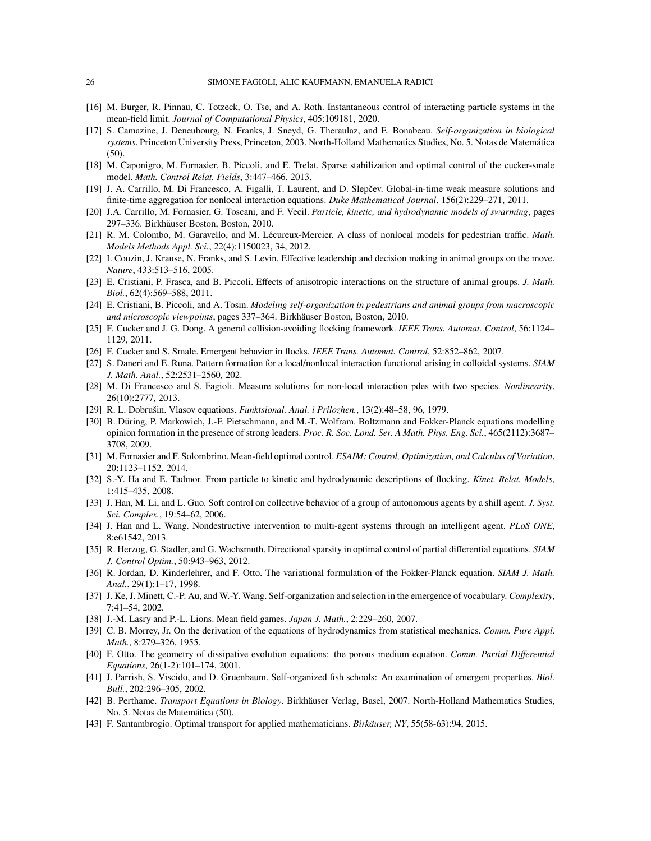- <span id="page-25-15"></span><span id="page-25-6"></span>[16] M. Burger, R. Pinnau, C. Totzeck, O. Tse, and A. Roth. Instantaneous control of interacting particle systems in the mean-field limit. *Journal of Computational Physics*, 405:109181, 2020.
- [17] S. Camazine, J. Deneubourg, N. Franks, J. Sneyd, G. Theraulaz, and E. Bonabeau. *Self-organization in biological systems*. Princeton University Press, Princeton, 2003. North-Holland Mathematics Studies, No. 5. Notas de Matemática (50).
- <span id="page-25-23"></span><span id="page-25-19"></span>[18] M. Caponigro, M. Fornasier, B. Piccoli, and E. Trelat. Sparse stabilization and optimal control of the cucker-smale model. *Math. Control Relat. Fields*, 3:447–466, 2013.
- <span id="page-25-0"></span>[19] J. A. Carrillo, M. Di Francesco, A. Figalli, T. Laurent, and D. Slepčev. Global-in-time weak measure solutions and finite-time aggregation for nonlocal interaction equations. *Duke Mathematical Journal*, 156(2):229–271, 2011.
- <span id="page-25-11"></span>[20] J.A. Carrillo, M. Fornasier, G. Toscani, and F. Vecil. *Particle, kinetic, and hydrodynamic models of swarming*, pages 297–336. Birkhäuser Boston, Boston, 2010.
- [21] R. M. Colombo, M. Garavello, and M. Lécureux-Mercier. A class of nonlocal models for pedestrian traffic. *Math. Models Methods Appl. Sci.*, 22(4):1150023, 34, 2012.
- <span id="page-25-8"></span><span id="page-25-7"></span>[22] I. Couzin, J. Krause, N. Franks, and S. Levin. Effective leadership and decision making in animal groups on the move. *Nature*, 433:513–516, 2005.
- [23] E. Cristiani, P. Frasca, and B. Piccoli. Effects of anisotropic interactions on the structure of animal groups. *J. Math. Biol.*, 62(4):569–588, 2011.
- <span id="page-25-12"></span>[24] E. Cristiani, B. Piccoli, and A. Tosin. *Modeling self-organization in pedestrians and animal groups from macroscopic and microscopic viewpoints*, pages 337–364. Birkhäuser Boston, Boston, 2010.
- <span id="page-25-2"></span><span id="page-25-1"></span>[25] F. Cucker and J. G. Dong. A general collision-avoiding flocking framework. *IEEE Trans. Automat. Control*, 56:1124– 1129, 2011.
- <span id="page-25-22"></span>[26] F. Cucker and S. Smale. Emergent behavior in flocks. *IEEE Trans. Automat. Control*, 52:852–862, 2007.
- <span id="page-25-25"></span>[27] S. Daneri and E. Runa. Pattern formation for a local/nonlocal interaction functional arising in colloidal systems. *SIAM J. Math. Anal.*, 52:2531–2560, 202.
- [28] M. Di Francesco and S. Fagioli. Measure solutions for non-local interaction pdes with two species. *Nonlinearity*, 26(10):2777, 2013.
- <span id="page-25-13"></span><span id="page-25-4"></span>[29] R. L. Dobrušin. Vlasov equations. *Funktsional. Anal. i Prilozhen.*, 13(2):48–58, 96, 1979.
- [30] B. Düring, P. Markowich, J.-F. Pietschmann, and M.-T. Wolfram. Boltzmann and Fokker-Planck equations modelling opinion formation in the presence of strong leaders. *Proc. R. Soc. Lond. Ser. A Math. Phys. Eng. Sci.*, 465(2112):3687– 3708, 2009.
- <span id="page-25-18"></span><span id="page-25-16"></span>[31] M. Fornasier and F. Solombrino. Mean-field optimal control. *ESAIM: Control, Optimization, and Calculus of Variation*, 20:1123–1152, 2014.
- [32] S.-Y. Ha and E. Tadmor. From particle to kinetic and hydrodynamic descriptions of flocking. *Kinet. Relat. Models*, 1:415–435, 2008.
- <span id="page-25-20"></span>[33] J. Han, M. Li, and L. Guo. Soft control on collective behavior of a group of autonomous agents by a shill agent. *J. Syst. Sci. Complex.*, 19:54–62, 2006.
- <span id="page-25-21"></span>[34] J. Han and L. Wang. Nondestructive intervention to multi-agent systems through an intelligent agent. *PLoS ONE*, 8:e61542, 2013.
- <span id="page-25-17"></span>[35] R. Herzog, G. Stadler, and G. Wachsmuth. Directional sparsity in optimal control of partial differential equations. *SIAM J. Control Optim.*, 50:943–963, 2012.
- <span id="page-25-24"></span>[36] R. Jordan, D. Kinderlehrer, and F. Otto. The variational formulation of the Fokker-Planck equation. *SIAM J. Math. Anal.*, 29(1):1–17, 1998.
- <span id="page-25-3"></span>[37] J. Ke, J. Minett, C.-P. Au, and W.-Y. Wang. Self-organization and selection in the emergence of vocabulary. *Complexity*, 7:41–54, 2002.
- <span id="page-25-14"></span><span id="page-25-5"></span>[38] J.-M. Lasry and P.-L. Lions. Mean field games. *Japan J. Math.*, 2:229–260, 2007.
- [39] C. B. Morrey, Jr. On the derivation of the equations of hydrodynamics from statistical mechanics. *Comm. Pure Appl. Math.*, 8:279–326, 1955.
- <span id="page-25-26"></span>[40] F. Otto. The geometry of dissipative evolution equations: the porous medium equation. *Comm. Partial Differential Equations*, 26(1-2):101–174, 2001.
- <span id="page-25-9"></span>[41] J. Parrish, S. Viscido, and D. Gruenbaum. Self-organized fish schools: An examination of emergent properties. *Biol. Bull.*, 202:296–305, 2002.
- <span id="page-25-10"></span>[42] B. Perthame. *Transport Equations in Biology*. Birkhäuser Verlag, Basel, 2007. North-Holland Mathematics Studies, No. 5. Notas de Matemática (50).
- <span id="page-25-27"></span>[43] F. Santambrogio. Optimal transport for applied mathematicians. *Birkäuser, NY*, 55(58-63):94, 2015.